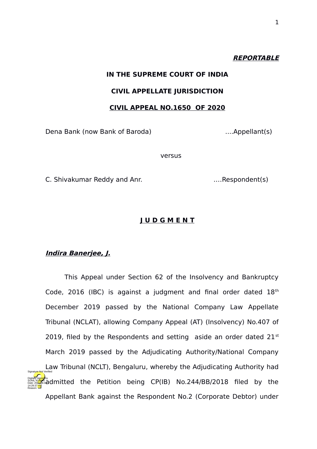#### **REPORTABLE**

## **IN THE SUPREME COURT OF INDIA**

# **CIVIL APPELLATE JURISDICTION**

#### **CIVIL APPEAL NO.1650 OF 2020**

Dena Bank (now Bank of Baroda) .....Appellant(s)

versus

C. Shivakumar Reddy and Anr. .…Respondent(s)

### **J U D G M E N T**

# **Indira Banerjee, J.**

Reason:

This Appeal under Section 62 of the Insolvency and Bankruptcy Code, 2016 (IBC) is against a judgment and final order dated  $18<sup>th</sup>$ December 2019 passed by the National Company Law Appellate Tribunal (NCLAT), allowing Company Appeal (AT) (Insolvency) No.407 of 2019, filed by the Respondents and setting aside an order dated  $21^{st}$ March 2019 passed by the Adjudicating Authority/National Company Law Tribunal (NCLT), Bengaluru, whereby the Adjudicating Authority had admitted the Petition being CP(IB) No.244/BB/2018 filed by the Appellant Bank against the Respondent No.2 (Corporate Debtor) under Digitally signed by SUNIL K<mark>UMA</mark>R Date: 2024.08.04 14:29:37 IST Signature Not Verified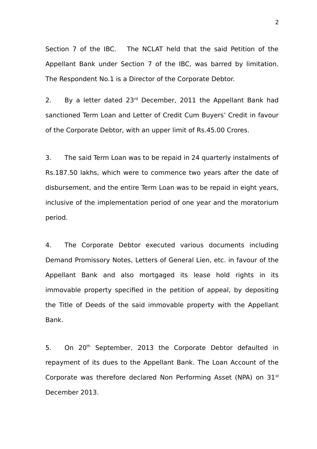Section 7 of the IBC. The NCLAT held that the said Petition of the Appellant Bank under Section 7 of the IBC, was barred by limitation. The Respondent No.1 is a Director of the Corporate Debtor.

2. By a letter dated  $23<sup>rd</sup>$  December, 2011 the Appellant Bank had sanctioned Term Loan and Letter of Credit Cum Buyers' Credit in favour of the Corporate Debtor, with an upper limit of Rs.45.00 Crores.

3. The said Term Loan was to be repaid in 24 quarterly instalments of Rs.187.50 lakhs, which were to commence two years after the date of disbursement, and the entire Term Loan was to be repaid in eight years, inclusive of the implementation period of one year and the moratorium period.

4. The Corporate Debtor executed various documents including Demand Promissory Notes, Letters of General Lien, etc. in favour of the Appellant Bank and also mortgaged its lease hold rights in its immovable property specified in the petition of appeal, by depositing the Title of Deeds of the said immovable property with the Appellant Bank.

5. On 20<sup>th</sup> September, 2013 the Corporate Debtor defaulted in repayment of its dues to the Appellant Bank. The Loan Account of the Corporate was therefore declared Non Performing Asset (NPA) on  $31^{st}$ December 2013.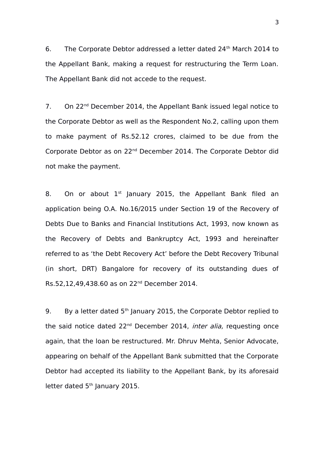6. The Corporate Debtor addressed a letter dated  $24<sup>th</sup>$  March 2014 to the Appellant Bank, making a request for restructuring the Term Loan. The Appellant Bank did not accede to the request.

7. On 22<sup>nd</sup> December 2014, the Appellant Bank issued legal notice to the Corporate Debtor as well as the Respondent No.2, calling upon them to make payment of Rs.52.12 crores, claimed to be due from the Corporate Debtor as on 22<sup>nd</sup> December 2014. The Corporate Debtor did not make the payment.

8. On or about  $1<sup>st</sup>$  January 2015, the Appellant Bank filed an application being O.A. No.16/2015 under Section 19 of the Recovery of Debts Due to Banks and Financial Institutions Act, 1993, now known as the Recovery of Debts and Bankruptcy Act, 1993 and hereinafter referred to as 'the Debt Recovery Act' before the Debt Recovery Tribunal (in short, DRT) Bangalore for recovery of its outstanding dues of Rs.52,12,49,438.60 as on 22nd December 2014.

9. By a letter dated  $5<sup>th</sup>$  January 2015, the Corporate Debtor replied to the said notice dated 22<sup>nd</sup> December 2014, *inter alia*, requesting once again, that the loan be restructured. Mr. Dhruv Mehta, Senior Advocate, appearing on behalf of the Appellant Bank submitted that the Corporate Debtor had accepted its liability to the Appellant Bank, by its aforesaid letter dated 5<sup>th</sup> January 2015.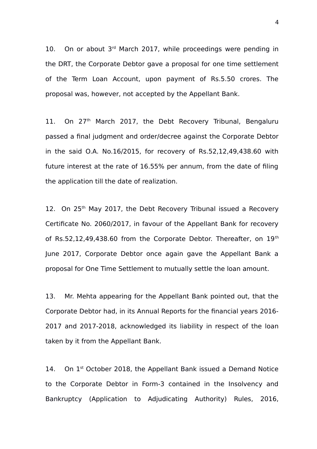10. On or about 3<sup>rd</sup> March 2017, while proceedings were pending in the DRT, the Corporate Debtor gave a proposal for one time settlement of the Term Loan Account, upon payment of Rs.5.50 crores. The proposal was, however, not accepted by the Appellant Bank.

11. On 27<sup>th</sup> March 2017, the Debt Recovery Tribunal, Bengaluru passed a final judgment and order/decree against the Corporate Debtor in the said O.A. No.16/2015, for recovery of Rs.52,12,49,438.60 with future interest at the rate of 16.55% per annum, from the date of filing the application till the date of realization.

12. On 25<sup>th</sup> May 2017, the Debt Recovery Tribunal issued a Recovery Certificate No. 2060/2017, in favour of the Appellant Bank for recovery of Rs.52,12,49,438.60 from the Corporate Debtor. Thereafter, on 19th June 2017, Corporate Debtor once again gave the Appellant Bank a proposal for One Time Settlement to mutually settle the loan amount.

13. Mr. Mehta appearing for the Appellant Bank pointed out, that the Corporate Debtor had, in its Annual Reports for the financial years 2016- 2017 and 2017-2018, acknowledged its liability in respect of the loan taken by it from the Appellant Bank.

14. On  $1<sup>st</sup>$  October 2018, the Appellant Bank issued a Demand Notice to the Corporate Debtor in Form-3 contained in the Insolvency and Bankruptcy (Application to Adjudicating Authority) Rules, 2016,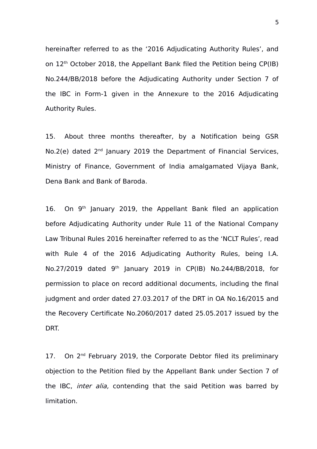hereinafter referred to as the '2016 Adjudicating Authority Rules', and on  $12<sup>th</sup>$  October 2018, the Appellant Bank filed the Petition being CP(IB) No.244/BB/2018 before the Adjudicating Authority under Section 7 of the IBC in Form-1 given in the Annexure to the 2016 Adjudicating Authority Rules.

15. About three months thereafter, by a Notification being GSR No.2(e) dated  $2^{nd}$  January 2019 the Department of Financial Services, Ministry of Finance, Government of India amalgamated Vijaya Bank, Dena Bank and Bank of Baroda.

16. On 9<sup>th</sup> January 2019, the Appellant Bank filed an application before Adjudicating Authority under Rule 11 of the National Company Law Tribunal Rules 2016 hereinafter referred to as the 'NCLT Rules', read with Rule 4 of the 2016 Adjudicating Authority Rules, being I.A. No.27/2019 dated 9<sup>th</sup> January 2019 in CP(IB) No.244/BB/2018, for permission to place on record additional documents, including the final judgment and order dated 27.03.2017 of the DRT in OA No.16/2015 and the Recovery Certificate No.2060/2017 dated 25.05.2017 issued by the DRT.

17. On 2<sup>nd</sup> February 2019, the Corporate Debtor filed its preliminary objection to the Petition filed by the Appellant Bank under Section 7 of the IBC, *inter alia*, contending that the said Petition was barred by limitation.

5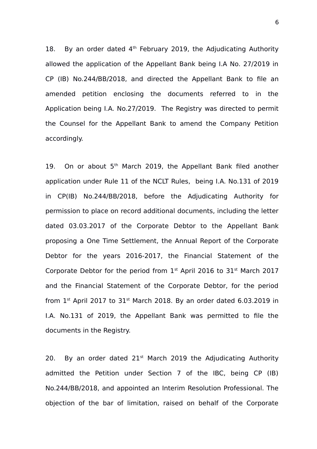18. By an order dated  $4<sup>th</sup>$  February 2019, the Adjudicating Authority allowed the application of the Appellant Bank being I.A No. 27/2019 in CP (IB) No.244/BB/2018, and directed the Appellant Bank to file an amended petition enclosing the documents referred to in the Application being I.A. No.27/2019. The Registry was directed to permit the Counsel for the Appellant Bank to amend the Company Petition accordingly.

19. On or about  $5<sup>th</sup>$  March 2019, the Appellant Bank filed another application under Rule 11 of the NCLT Rules, being I.A. No.131 of 2019 in CP(IB) No.244/BB/2018, before the Adjudicating Authority for permission to place on record additional documents, including the letter dated 03.03.2017 of the Corporate Debtor to the Appellant Bank proposing a One Time Settlement, the Annual Report of the Corporate Debtor for the years 2016-2017, the Financial Statement of the Corporate Debtor for the period from  $1<sup>st</sup>$  April 2016 to 31 $<sup>st</sup>$  March 2017</sup> and the Financial Statement of the Corporate Debtor, for the period from  $1<sup>st</sup>$  April 2017 to  $31<sup>st</sup>$  March 2018. By an order dated 6.03.2019 in I.A. No.131 of 2019, the Appellant Bank was permitted to file the documents in the Registry.

20. By an order dated  $21<sup>st</sup>$  March 2019 the Adjudicating Authority admitted the Petition under Section 7 of the IBC, being CP (IB) No.244/BB/2018, and appointed an Interim Resolution Professional. The objection of the bar of limitation, raised on behalf of the Corporate

6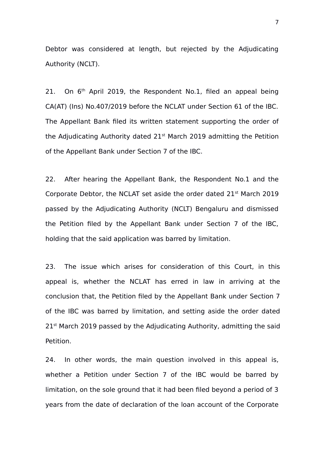Debtor was considered at length, but rejected by the Adjudicating Authority (NCLT).

21. On  $6<sup>th</sup>$  April 2019, the Respondent No.1, filed an appeal being CA(AT) (Ins) No.407/2019 before the NCLAT under Section 61 of the IBC. The Appellant Bank filed its written statement supporting the order of the Adjudicating Authority dated  $21<sup>st</sup>$  March 2019 admitting the Petition of the Appellant Bank under Section 7 of the IBC.

22. After hearing the Appellant Bank, the Respondent No.1 and the Corporate Debtor, the NCLAT set aside the order dated  $21<sup>st</sup>$  March 2019 passed by the Adjudicating Authority (NCLT) Bengaluru and dismissed the Petition filed by the Appellant Bank under Section 7 of the IBC, holding that the said application was barred by limitation.

23. The issue which arises for consideration of this Court, in this appeal is, whether the NCLAT has erred in law in arriving at the conclusion that, the Petition filed by the Appellant Bank under Section 7 of the IBC was barred by limitation, and setting aside the order dated  $21<sup>st</sup>$  March 2019 passed by the Adjudicating Authority, admitting the said Petition.

24. In other words, the main question involved in this appeal is, whether a Petition under Section 7 of the IBC would be barred by limitation, on the sole ground that it had been filed beyond a period of 3 years from the date of declaration of the loan account of the Corporate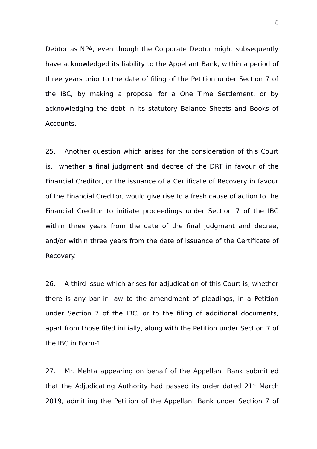Debtor as NPA, even though the Corporate Debtor might subsequently have acknowledged its liability to the Appellant Bank, within a period of three years prior to the date of filing of the Petition under Section 7 of the IBC, by making a proposal for a One Time Settlement, or by acknowledging the debt in its statutory Balance Sheets and Books of Accounts.

25. Another question which arises for the consideration of this Court is, whether a final judgment and decree of the DRT in favour of the Financial Creditor, or the issuance of a Certificate of Recovery in favour of the Financial Creditor, would give rise to a fresh cause of action to the Financial Creditor to initiate proceedings under Section 7 of the IBC within three years from the date of the final judgment and decree, and/or within three years from the date of issuance of the Certificate of Recovery.

26. A third issue which arises for adjudication of this Court is, whether there is any bar in law to the amendment of pleadings, in a Petition under Section 7 of the IBC, or to the filing of additional documents, apart from those filed initially, along with the Petition under Section 7 of the IBC in Form-1.

27. Mr. Mehta appearing on behalf of the Appellant Bank submitted that the Adjudicating Authority had passed its order dated  $21<sup>st</sup>$  March 2019, admitting the Petition of the Appellant Bank under Section 7 of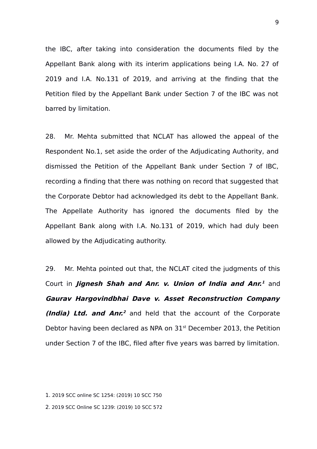the IBC, after taking into consideration the documents filed by the Appellant Bank along with its interim applications being I.A. No. 27 of 2019 and I.A. No.131 of 2019, and arriving at the finding that the Petition filed by the Appellant Bank under Section 7 of the IBC was not barred by limitation.

28. Mr. Mehta submitted that NCLAT has allowed the appeal of the Respondent No.1, set aside the order of the Adjudicating Authority, and dismissed the Petition of the Appellant Bank under Section 7 of IBC, recording a finding that there was nothing on record that suggested that the Corporate Debtor had acknowledged its debt to the Appellant Bank. The Appellate Authority has ignored the documents filed by the Appellant Bank along with I.A. No.131 of 2019, which had duly been allowed by the Adjudicating authority.

29. Mr. Mehta pointed out that, the NCLAT cited the judgments of this Court in **Jignesh Shah and Anr. v. Union of India and Anr. [1](#page-8-0)** and **Gaurav Hargovindbhai Dave v. Asset Reconstruction Company (India) Ltd. and Anr.**<sup>[2](#page-8-1)</sup> and held that the account of the Corporate Debtor having been declared as NPA on  $31<sup>st</sup>$  December 2013, the Petition under Section 7 of the IBC, filed after five years was barred by limitation.

<span id="page-8-0"></span>1. 2019 SCC online SC 1254: (2019) 10 SCC 750

<span id="page-8-1"></span>2. 2019 SCC Online SC 1239: (2019) 10 SCC 572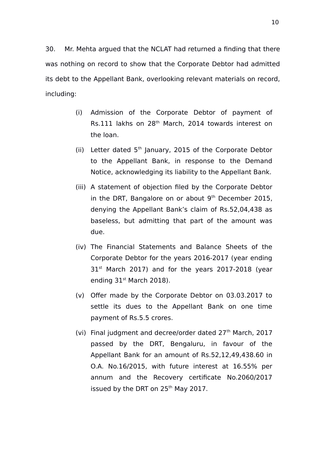30. Mr. Mehta argued that the NCLAT had returned a finding that there was nothing on record to show that the Corporate Debtor had admitted its debt to the Appellant Bank, overlooking relevant materials on record, including:

- (i) Admission of the Corporate Debtor of payment of Rs.111 lakhs on 28<sup>th</sup> March, 2014 towards interest on the loan.
- (ii) Letter dated  $5<sup>th</sup>$  January, 2015 of the Corporate Debtor to the Appellant Bank, in response to the Demand Notice, acknowledging its liability to the Appellant Bank.
- (iii) A statement of objection filed by the Corporate Debtor in the DRT, Bangalore on or about  $9<sup>th</sup>$  December 2015, denying the Appellant Bank's claim of Rs.52,04,438 as baseless, but admitting that part of the amount was due.
- (iv) The Financial Statements and Balance Sheets of the Corporate Debtor for the years 2016-2017 (year ending  $31<sup>st</sup>$  March 2017) and for the years 2017-2018 (year ending  $31<sup>st</sup>$  March 2018).
- (v) Offer made by the Corporate Debtor on 03.03.2017 to settle its dues to the Appellant Bank on one time payment of Rs.5.5 crores.
- (vi) Final judgment and decree/order dated  $27<sup>th</sup>$  March, 2017 passed by the DRT, Bengaluru, in favour of the Appellant Bank for an amount of Rs.52,12,49,438.60 in O.A. No.16/2015, with future interest at 16.55% per annum and the Recovery certificate No.2060/2017 issued by the DRT on  $25<sup>th</sup>$  May 2017.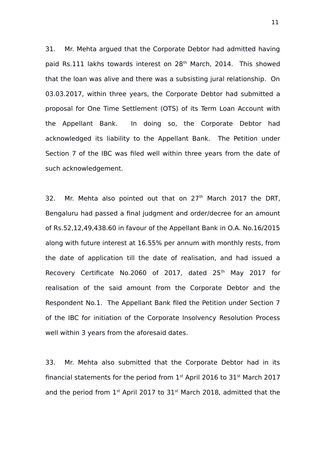31. Mr. Mehta argued that the Corporate Debtor had admitted having paid Rs.111 lakhs towards interest on 28<sup>th</sup> March, 2014. This showed that the loan was alive and there was a subsisting jural relationship. On 03.03.2017, within three years, the Corporate Debtor had submitted a proposal for One Time Settlement (OTS) of its Term Loan Account with the Appellant Bank. In doing so, the Corporate Debtor had acknowledged its liability to the Appellant Bank. The Petition under Section 7 of the IBC was filed well within three years from the date of such acknowledgement.

32. Mr. Mehta also pointed out that on 27<sup>th</sup> March 2017 the DRT, Bengaluru had passed a final judgment and order/decree for an amount of Rs.52,12,49,438.60 in favour of the Appellant Bank in O.A. No.16/2015 along with future interest at 16.55% per annum with monthly rests, from the date of application till the date of realisation, and had issued a Recovery Certificate No.2060 of 2017, dated 25<sup>th</sup> May 2017 for realisation of the said amount from the Corporate Debtor and the Respondent No.1. The Appellant Bank filed the Petition under Section 7 of the IBC for initiation of the Corporate Insolvency Resolution Process well within 3 years from the aforesaid dates.

33. Mr. Mehta also submitted that the Corporate Debtor had in its financial statements for the period from  $1<sup>st</sup>$  April 2016 to 31 $<sup>st</sup>$  March 2017</sup> and the period from  $1<sup>st</sup>$  April 2017 to 31 $<sup>st</sup>$  March 2018, admitted that the</sup>

11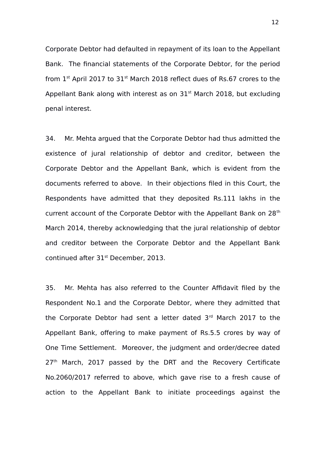Corporate Debtor had defaulted in repayment of its loan to the Appellant Bank. The financial statements of the Corporate Debtor, for the period from  $1<sup>st</sup>$  April 2017 to 31 $<sup>st</sup>$  March 2018 reflect dues of Rs.67 crores to the</sup> Appellant Bank along with interest as on  $31<sup>st</sup>$  March 2018, but excluding penal interest.

34. Mr. Mehta argued that the Corporate Debtor had thus admitted the existence of jural relationship of debtor and creditor, between the Corporate Debtor and the Appellant Bank, which is evident from the documents referred to above. In their objections filed in this Court, the Respondents have admitted that they deposited Rs.111 lakhs in the current account of the Corporate Debtor with the Appellant Bank on 28<sup>th</sup> March 2014, thereby acknowledging that the jural relationship of debtor and creditor between the Corporate Debtor and the Appellant Bank continued after 31<sup>st</sup> December, 2013.

35. Mr. Mehta has also referred to the Counter Affidavit filed by the Respondent No.1 and the Corporate Debtor, where they admitted that the Corporate Debtor had sent a letter dated  $3<sup>rd</sup>$  March 2017 to the Appellant Bank, offering to make payment of Rs.5.5 crores by way of One Time Settlement. Moreover, the judgment and order/decree dated 27<sup>th</sup> March, 2017 passed by the DRT and the Recovery Certificate No.2060/2017 referred to above, which gave rise to a fresh cause of action to the Appellant Bank to initiate proceedings against the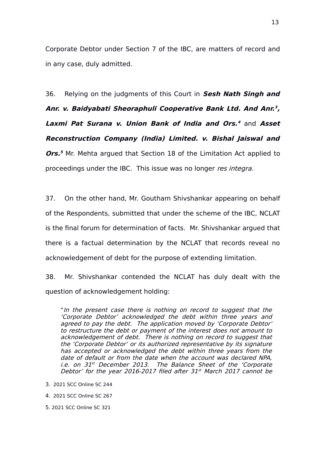Corporate Debtor under Section 7 of the IBC, are matters of record and in any case, duly admitted.

36. Relying on the judgments of this Court in **Sesh Nath Singh and Anr. v. Baidyabati Sheoraphuli Cooperative Bank Ltd. And Anr. [3](#page-12-0) , Laxmi Pat Surana v. Union Bank of India and Ors. [4](#page-12-1)** and **Asset Reconstruction Company (India) Limited. v. Bishal Jaiswal and Ors. [5](#page-12-2)** Mr. Mehta argued that Section 18 of the Limitation Act applied to proceedings under the IBC. This issue was no longer res integra.

37. On the other hand, Mr. Goutham Shivshankar appearing on behalf of the Respondents, submitted that under the scheme of the IBC, NCLAT is the final forum for determination of facts. Mr. Shivshankar argued that there is a factual determination by the NCLAT that records reveal no acknowledgement of debt for the purpose of extending limitation.

38. Mr. Shivshankar contended the NCLAT has duly dealt with the question of acknowledgement holding:

"In the present case there is nothing on record to suggest that the 'Corporate Debtor' acknowledged the debt within three years and agreed to pay the debt. The application moved by 'Corporate Debtor' to restructure the debt or payment of the interest does not amount to acknowledgement of debt. There is nothing on record to suggest that the 'Corporate Debtor' or its authorized representative by its signature has accepted or acknowledged the debt within three years from the date of default or from the date when the account was declared NPA, i.e. on 31st December 2013. The Balance Sheet of the 'Corporate Debtor' for the year 2016-2017 filed after 31st March 2017 cannot be

- <span id="page-12-0"></span>3. 2021 SCC Online SC 244
- <span id="page-12-1"></span>4. 2021 SCC Online SC 267
- <span id="page-12-2"></span>5. 2021 SCC Online SC 321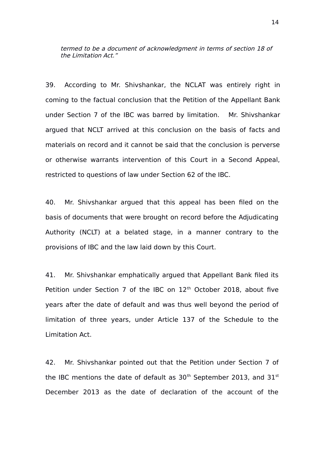termed to be a document of acknowledgment in terms of section 18 of the Limitation Act."

39. According to Mr. Shivshankar, the NCLAT was entirely right in coming to the factual conclusion that the Petition of the Appellant Bank under Section 7 of the IBC was barred by limitation. Mr. Shivshankar argued that NCLT arrived at this conclusion on the basis of facts and materials on record and it cannot be said that the conclusion is perverse or otherwise warrants intervention of this Court in a Second Appeal, restricted to questions of law under Section 62 of the IBC.

40. Mr. Shivshankar argued that this appeal has been filed on the basis of documents that were brought on record before the Adjudicating Authority (NCLT) at a belated stage, in a manner contrary to the provisions of IBC and the law laid down by this Court.

41. Mr. Shivshankar emphatically argued that Appellant Bank filed its Petition under Section 7 of the IBC on  $12<sup>th</sup>$  October 2018, about five years after the date of default and was thus well beyond the period of limitation of three years, under Article 137 of the Schedule to the Limitation Act.

42. Mr. Shivshankar pointed out that the Petition under Section 7 of the IBC mentions the date of default as  $30<sup>th</sup>$  September 2013, and  $31<sup>st</sup>$ December 2013 as the date of declaration of the account of the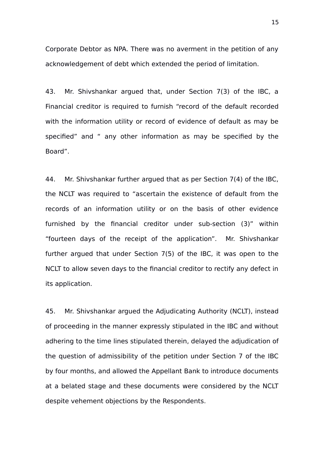Corporate Debtor as NPA. There was no averment in the petition of any acknowledgement of debt which extended the period of limitation.

43. Mr. Shivshankar argued that, under Section 7(3) of the IBC, a Financial creditor is required to furnish "record of the default recorded with the information utility or record of evidence of default as may be specified" and " any other information as may be specified by the Board".

44. Mr. Shivshankar further argued that as per Section 7(4) of the IBC, the NCLT was required to "ascertain the existence of default from the records of an information utility or on the basis of other evidence furnished by the financial creditor under sub-section (3)" within "fourteen days of the receipt of the application". Mr. Shivshankar further argued that under Section 7(5) of the IBC, it was open to the NCLT to allow seven days to the financial creditor to rectify any defect in its application.

45. Mr. Shivshankar argued the Adjudicating Authority (NCLT), instead of proceeding in the manner expressly stipulated in the IBC and without adhering to the time lines stipulated therein, delayed the adjudication of the question of admissibility of the petition under Section 7 of the IBC by four months, and allowed the Appellant Bank to introduce documents at a belated stage and these documents were considered by the NCLT despite vehement objections by the Respondents.

15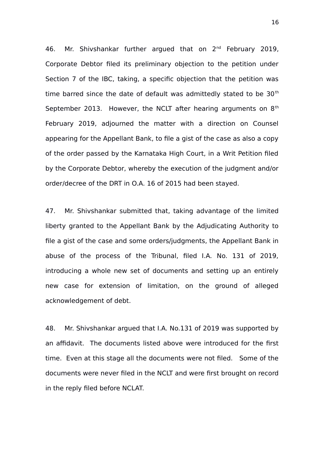46. Mr. Shivshankar further argued that on 2<sup>nd</sup> February 2019, Corporate Debtor filed its preliminary objection to the petition under Section 7 of the IBC, taking, a specific objection that the petition was time barred since the date of default was admittedly stated to be  $30<sup>th</sup>$ September 2013. However, the NCLT after hearing arguments on  $8<sup>th</sup>$ February 2019, adjourned the matter with a direction on Counsel appearing for the Appellant Bank, to file a gist of the case as also a copy of the order passed by the Karnataka High Court, in a Writ Petition filed by the Corporate Debtor, whereby the execution of the judgment and/or order/decree of the DRT in O.A. 16 of 2015 had been stayed.

47. Mr. Shivshankar submitted that, taking advantage of the limited liberty granted to the Appellant Bank by the Adjudicating Authority to file a gist of the case and some orders/judgments, the Appellant Bank in abuse of the process of the Tribunal, filed I.A. No. 131 of 2019, introducing a whole new set of documents and setting up an entirely new case for extension of limitation, on the ground of alleged acknowledgement of debt.

48. Mr. Shivshankar argued that I.A. No.131 of 2019 was supported by an affidavit. The documents listed above were introduced for the first time. Even at this stage all the documents were not filed. Some of the documents were never filed in the NCLT and were first brought on record in the reply filed before NCLAT.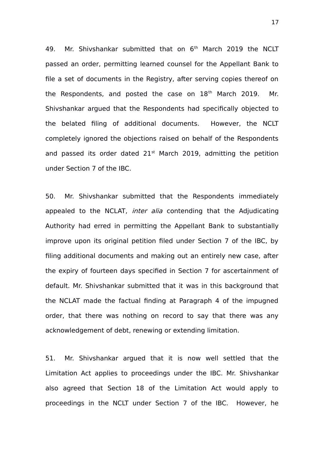49. Mr. Shivshankar submitted that on 6<sup>th</sup> March 2019 the NCLT passed an order, permitting learned counsel for the Appellant Bank to file a set of documents in the Registry, after serving copies thereof on the Respondents, and posted the case on  $18<sup>th</sup>$  March 2019. Mr. Shivshankar argued that the Respondents had specifically objected to the belated filing of additional documents. However, the NCLT completely ignored the objections raised on behalf of the Respondents and passed its order dated  $21<sup>st</sup>$  March 2019, admitting the petition under Section 7 of the IBC.

50. Mr. Shivshankar submitted that the Respondents immediately appealed to the NCLAT, *inter alia* contending that the Adjudicating Authority had erred in permitting the Appellant Bank to substantially improve upon its original petition filed under Section 7 of the IBC, by filing additional documents and making out an entirely new case, after the expiry of fourteen days specified in Section 7 for ascertainment of default. Mr. Shivshankar submitted that it was in this background that the NCLAT made the factual finding at Paragraph 4 of the impugned order, that there was nothing on record to say that there was any acknowledgement of debt, renewing or extending limitation.

51. Mr. Shivshankar argued that it is now well settled that the Limitation Act applies to proceedings under the IBC. Mr. Shivshankar also agreed that Section 18 of the Limitation Act would apply to proceedings in the NCLT under Section 7 of the IBC. However, he

17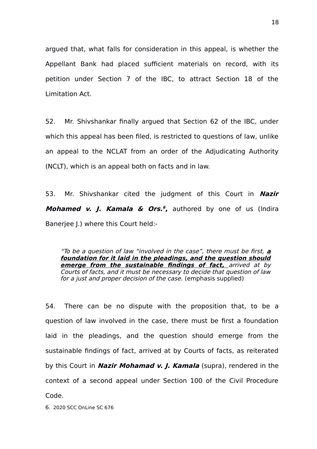argued that, what falls for consideration in this appeal, is whether the Appellant Bank had placed sufficient materials on record, with its petition under Section 7 of the IBC, to attract Section 18 of the Limitation Act.

52. Mr. Shivshankar finally argued that Section 62 of the IBC, under which this appeal has been filed, is restricted to questions of law, unlike an appeal to the NCLAT from an order of the Adjudicating Authority (NCLT), which is an appeal both on facts and in law.

53. Mr. Shivshankar cited the judgment of this Court in **Nazir Mohamed v. J. Kamala & Ors. [6](#page-17-0) ,** authored by one of us (Indira Banerjee J.) where this Court held:-

"To be a question of law "involved in the case", there must be first, **<sup>a</sup> foundation for it laid in the pleadings, and the question should emerge from the sustainable findings of fact,** arrived at by Courts of facts, and it must be necessary to decide that question of law for a just and proper decision of the case. (emphasis supplied)

54. There can be no dispute with the proposition that, to be a question of law involved in the case, there must be first a foundation laid in the pleadings, and the question should emerge from the sustainable findings of fact, arrived at by Courts of facts, as reiterated by this Court in **Nazir Mohamad v. J. Kamala** (supra), rendered in the context of a second appeal under Section 100 of the Civil Procedure Code.

<span id="page-17-0"></span>6. 2020 SCC OnLine SC 676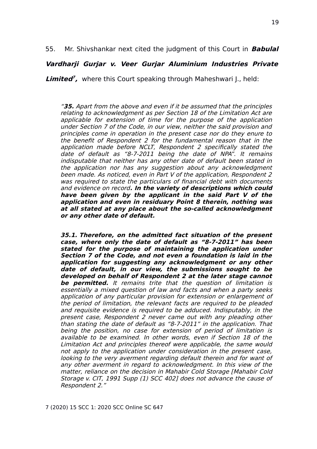55. Mr. Shivshankar next cited the judgment of this Court in **Babulal**

# **Vardharji Gurjar v. Veer Gurjar Aluminium Industries Private**

**Limited [7](#page-18-0) ,** where this Court speaking through Maheshwari J., held:

"**35.** Apart from the above and even if it be assumed that the principles relating to acknowledgment as per Section 18 of the Limitation Act are applicable for extension of time for the purpose of the application under Section 7 of the Code, in our view, neither the said provision and principles come in operation in the present case nor do they enure to the benefit of Respondent 2 for the fundamental reason that in the application made before NCLT, Respondent 2 specifically stated the date of default as "8-7-2011 being the date of NPA". It remains indisputable that neither has any other date of default been stated in the application nor has any suggestion about any acknowledgment been made. As noticed, even in Part V of the application, Respondent 2 was required to state the particulars of financial debt with documents and evidence on record**. In the variety of descriptions which could** have been given by the applicant in the said Part V of the **application and even in residuary Point 8 therein, nothing was at all stated at any place about the so-called acknowledgment or any other date of default.**

<span id="page-18-0"></span>**35.1. Therefore, on the admitted fact situation of the present case, where only the date of default as "8-7-2011" has been stated for the purpose of maintaining the application under Section 7 of the Code, and not even a foundation is laid in the application for suggesting any acknowledgment or any other date of default, in our view, the submissions sought to be developed on behalf of Respondent 2 at the later stage cannot be permitted.** It remains trite that the question of limitation is essentially a mixed question of law and facts and when a party seeks application of any particular provision for extension or enlargement of the period of limitation, the relevant facts are required to be pleaded and requisite evidence is required to be adduced. Indisputably, in the present case, Respondent 2 never came out with any pleading other than stating the date of default as "8-7-2011" in the application. That being the position, no case for extension of period of limitation is available to be examined. In other words, even if Section 18 of the Limitation Act and principles thereof were applicable, the same would not apply to the application under consideration in the present case, looking to the very averment regarding default therein and for want of any other averment in regard to acknowledgment. In this view of the matter, reliance on the decision in Mahabir Cold Storage [Mahabir Cold Storage v. CIT, 1991 Supp (1) SCC 402] does not advance the cause of Respondent 2."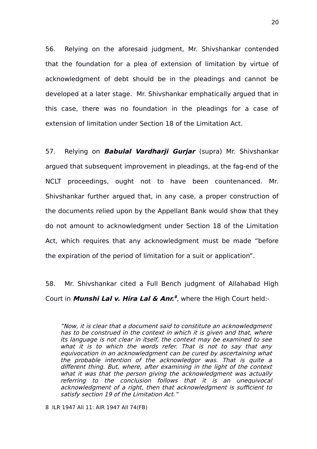56. Relying on the aforesaid judgment, Mr. Shivshankar contended that the foundation for a plea of extension of limitation by virtue of acknowledgment of debt should be in the pleadings and cannot be developed at a later stage. Mr. Shivshankar emphatically argued that in this case, there was no foundation in the pleadings for a case of extension of limitation under Section 18 of the Limitation Act.

57. Relying on **Babulal Vardharji Gurjar** (supra) Mr. Shivshankar argued that subsequent improvement in pleadings, at the fag-end of the NCLT proceedings, ought not to have been countenanced. Mr. Shivshankar further argued that, in any case, a proper construction of the documents relied upon by the Appellant Bank would show that they do not amount to acknowledgment under Section 18 of the Limitation Act, which requires that any acknowledgment must be made "before the expiration of the period of limitation for a suit or application".

58. Mr. Shivshankar cited a Full Bench judgment of Allahabad High Court in **Munshi Lal v. Hira Lal & Anr. [8](#page-19-0)** , where the High Court held:-

<span id="page-19-0"></span>"Now, it is clear that a document said to constitute an acknowledgment has to be construed in the context in which it is given and that, where its language is not clear in itself, the context may be examined to see what it is to which the words refer. That is not to say that any equivocation in an acknowledgment can be cured by ascertaining what the probable intention of the acknowledgor was. That is quite <sup>a</sup> different thing. But, where, after examining in the light of the context what it was that the person giving the acknowledgment was actually referring to the conclusion follows that it is an unequivocal acknowledgment of a right, then that acknowledgment is sufficient to satisfy section 19 of the Limitation Act."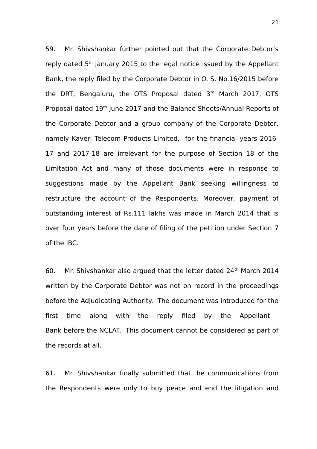59. Mr. Shivshankar further pointed out that the Corporate Debtor's reply dated 5<sup>th</sup> January 2015 to the legal notice issued by the Appellant Bank, the reply filed by the Corporate Debtor in O. S. No.16/2015 before the DRT, Bengaluru, the OTS Proposal dated  $3<sup>rd</sup>$  March 2017, OTS Proposal dated 19<sup>th</sup> June 2017 and the Balance Sheets/Annual Reports of the Corporate Debtor and a group company of the Corporate Debtor, namely Kaveri Telecom Products Limited, for the financial years 2016- 17 and 2017-18 are irrelevant for the purpose of Section 18 of the Limitation Act and many of those documents were in response to suggestions made by the Appellant Bank seeking willingness to restructure the account of the Respondents. Moreover, payment of outstanding interest of Rs.111 lakhs was made in March 2014 that is over four years before the date of filing of the petition under Section 7 of the IBC.

60. Mr. Shivshankar also argued that the letter dated  $24<sup>th</sup>$  March 2014 written by the Corporate Debtor was not on record in the proceedings before the Adjudicating Authority. The document was introduced for the first time along with the reply filed by the Appellant Bank before the NCLAT. This document cannot be considered as part of the records at all.

61. Mr. Shivshankar finally submitted that the communications from the Respondents were only to buy peace and end the litigation and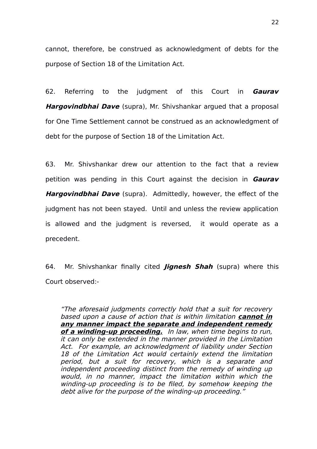cannot, therefore, be construed as acknowledgment of debts for the purpose of Section 18 of the Limitation Act.

62. Referring to the judgment of this Court in **Gaurav Hargovindbhai Dave** (supra), Mr. Shivshankar argued that a proposal for One Time Settlement cannot be construed as an acknowledgment of debt for the purpose of Section 18 of the Limitation Act.

63. Mr. Shivshankar drew our attention to the fact that a review petition was pending in this Court against the decision in **Gaurav Hargovindbhai Dave** (supra). Admittedly, however, the effect of the judgment has not been stayed. Until and unless the review application is allowed and the judgment is reversed, it would operate as a precedent.

64. Mr. Shivshankar finally cited **Jignesh Shah** (supra) where this Court observed:-

"The aforesaid judgments correctly hold that a suit for recovery based upon a cause of action that is within limitation **cannot in any manner impact the separate and independent remedy of a winding-up proceeding.** In law, when time begins to run, it can only be extended in the manner provided in the Limitation Act. For example, an acknowledgment of liability under Section 18 of the Limitation Act would certainly extend the limitation period, but <sup>a</sup> suit for recovery, which is <sup>a</sup> separate and independent proceeding distinct from the remedy of winding up would, in no manner, impact the limitation within which the winding-up proceeding is to be filed, by somehow keeping the debt alive for the purpose of the winding-up proceeding."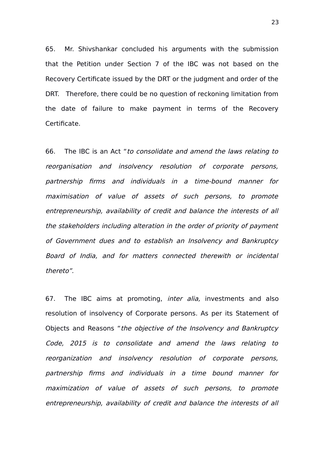65. Mr. Shivshankar concluded his arguments with the submission that the Petition under Section 7 of the IBC was not based on the Recovery Certificate issued by the DRT or the judgment and order of the DRT. Therefore, there could be no question of reckoning limitation from the date of failure to make payment in terms of the Recovery Certificate.

66. The IBC is an Act "to consolidate and amend the laws relating to reorganisation and insolvency resolution of corporate persons, partnership firms and individuals in <sup>a</sup> time-bound manner for maximisation of value of assets of such persons, to promote entrepreneurship, availability of credit and balance the interests of all the stakeholders including alteration in the order of priority of payment of Government dues and to establish an Insolvency and Bankruptcy Board of India, and for matters connected therewith or incidental thereto".

67. The IBC aims at promoting, *inter alia*, investments and also resolution of insolvency of Corporate persons. As per its Statement of Objects and Reasons "the objective of the Insolvency and Bankruptcy Code, 2015 is to consolidate and amend the laws relating to reorganization and insolvency resolution of corporate persons, partnership firms and individuals in <sup>a</sup> time bound manner for maximization of value of assets of such persons, to promote entrepreneurship, availability of credit and balance the interests of all

23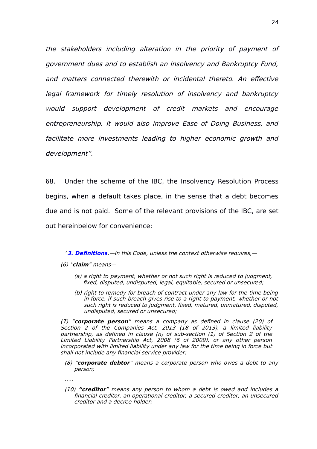the stakeholders including alteration in the priority of payment of government dues and to establish an Insolvency and Bankruptcy Fund, and matters connected therewith or incidental thereto. An effective legal framework for timely resolution of insolvency and bankruptcy would support development of credit markets and encourage entrepreneurship. It would also improve Ease of Doing Business, and facilitate more investments leading to higher economic growth and development".

68. Under the scheme of the IBC, the Insolvency Resolution Process begins, when a default takes place, in the sense that a debt becomes due and is not paid. Some of the relevant provisions of the IBC, are set out hereinbelow for convenience:

"**[3. Definitions](https://www.scconline.com/Members/BrowseResult.aspx#BS003)**.—In this Code, unless the context otherwise requires,—

- (6) "**claim**" means—
	- (a) a right to payment, whether or not such right is reduced to judgment, fixed, disputed, undisputed, legal, equitable, secured or unsecured;
	- (b) right to remedy for breach of contract under any law for the time being in force, if such breach gives rise to a right to payment, whether or not such right is reduced to judgment, fixed, matured, unmatured, disputed, undisputed, secured or unsecured;

(7) "**corporate person**" means <sup>a</sup> company as defined in clause (20) of Section 2 of the Companies Act, 2013 (18 of 2013), <sup>a</sup> limited liability partnership, as defined in clause (n) of sub-section (1) of Section 2 of the Limited Liability Partnership Act, 2008 (6 of 2009), or any other person incorporated with limited liability under any law for the time being in force but shall not include any financial service provider;

(8) "**corporate debtor**" means a corporate person who owes a debt to any person;

…..

(10) **"creditor**" means any person to whom a debt is owed and includes a financial creditor, an operational creditor, a secured creditor, an unsecured creditor and a decree-holder;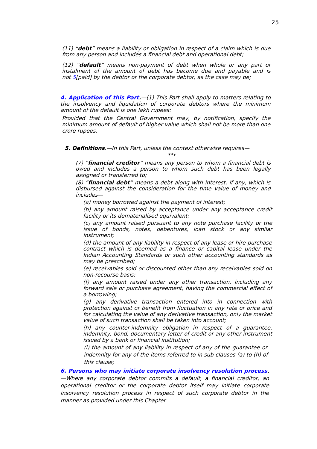(11) "**debt**" means a liability or obligation in respect of a claim which is due from any person and includes a financial debt and operational debt;

(12) "**default**" means non-payment of debt when whole or any part or instalment of the amount of debt has become due and payable and is not [5\[](https://www.scconline.com/Members/BrowseResult.aspx#FN0005)paid] by the debtor or the corporate debtor, as the case may be;

**[4. Application of this Part.](https://www.scconline.com/Members/BrowseResult.aspx#BS004)**—(1) This Part shall apply to matters relating to the insolvency and liquidation of corporate debtors where the minimum amount of the default is one lakh rupees:

Provided that the Central Government may, by notification, specify the minimum amount of default of higher value which shall not be more than one crore rupees.

**5. Definitions**.—In this Part, unless the context otherwise requires—

 $***$ 

(7) "**financial creditor**" means any person to whom a financial debt is owed and includes <sup>a</sup> person to whom such debt has been legally assigned or transferred to;

(8) "**financial debt**" means a debt along with interest, if any, which is disbursed against the consideration for the time value of money and includes—

(a) money borrowed against the payment of interest;

(b) any amount raised by acceptance under any acceptance credit facility or its dematerialised equivalent;

(c) any amount raised pursuant to any note purchase facility or the issue of bonds, notes, debentures, loan stock or any similar instrument;

(d) the amount of any liability in respect of any lease or hire-purchase contract which is deemed as a finance or capital lease under the Indian Accounting Standards or such other accounting standards as may be prescribed;

(e) receivables sold or discounted other than any receivables sold on non-recourse basis;

(f) any amount raised under any other transaction, including any forward sale or purchase agreement, having the commercial effect of a borrowing;

(g) any derivative transaction entered into in connection with protection against or benefit from fluctuation in any rate or price and for calculating the value of any derivative transaction, only the market value of such transaction shall be taken into account;

(h) any counter-indemnity obligation in respect of <sup>a</sup> guarantee, indemnity, bond, documentary letter of credit or any other instrument issued by a bank or financial institution;

(i) the amount of any liability in respect of any of the guarantee or indemnity for any of the items referred to in sub-clauses (a) to (h) of this clause;

#### **[6. Persons who may initiate corporate insolvency resolution process](https://www.scconline.com/Members/BrowseResult.aspx#BS006)**.

—Where any corporate debtor commits a default, a financial creditor, an operational creditor or the corporate debtor itself may initiate corporate insolvency resolution process in respect of such corporate debtor in the manner as provided under this Chapter.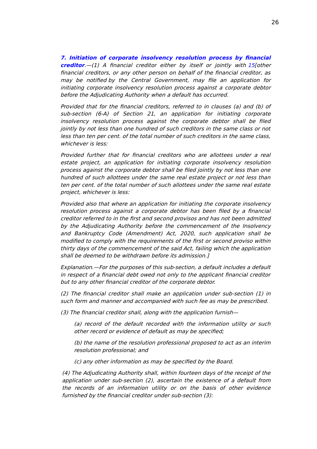**7. Initiation of corporate [insolvency](https://www.scconline.com/Members/BrowseResult.aspx#BS007) resolution process by financial [creditor](https://www.scconline.com/Members/BrowseResult.aspx#BS007)**.—(1) A financial creditor either by itself or jointly with [15](https://www.scconline.com/Members/BrowseResult.aspx#FN0015)[other financial creditors, or any other person on behalf of the financial creditor, as may be notified by the Central Government, may file an application for initiating corporate insolvency resolution process against a corporate debtor before the Adjudicating Authority when a default has occurred.

Provided that for the financial creditors, referred to in clauses (a) and (b) of sub-section (6-A) of Section 21, an application for initiating corporate insolvency resolution process against the corporate debtor shall be filed jointly by not less than one hundred of such creditors in the same class or not less than ten per cent. of the total number of such creditors in the same class, whichever is less:

Provided further that for financial creditors who are allottees under a real estate project, an application for initiating corporate insolvency resolution process against the corporate debtor shall be filed jointly by not less than one hundred of such allottees under the same real estate project or not less than ten per cent. of the total number of such allottees under the same real estate project, whichever is less:

Provided also that where an application for initiating the corporate insolvency resolution process against a corporate debtor has been filed by a financial creditor referred to in the first and second provisos and has not been admitted by the Adjudicating Authority before the commencement of the Insolvency and Bankruptcy Code (Amendment) Act, 2020, such application shall be modified to comply with the requirements of the first or second proviso within thirty days of the commencement of the said Act, failing which the application shall be deemed to be withdrawn before its admission.]

Explanation.—For the purposes of this sub-section, a default includes a default in respect of a financial debt owed not only to the applicant financial creditor but to any other financial creditor of the corporate debtor.

(2) The financial creditor shall make an application under sub-section (1) in such form and manner and accompanied with such fee as may be prescribed.

(3) The financial creditor shall, along with the application furnish—

(a) record of the default recorded with the information utility or such other record or evidence of default as may be specified;

(b) the name of the resolution professional proposed to act as an interim resolution professional; and

(c) any other information as may be specified by the Board.

(4) The Adjudicating Authority shall, within fourteen days of the receipt of the application under sub-section (2), ascertain the existence of a default from the records of an information utility or on the basis of other evidence furnished by the financial creditor under sub-section (3):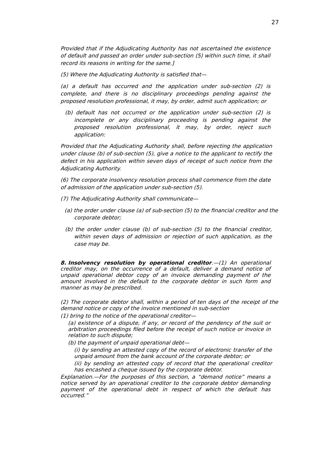Provided that if the Adjudicating Authority has not ascertained the existence of default and passed an order under sub-section (5) within such time, it shall record its reasons in writing for the same.]

(5) Where the Adjudicating Authority is satisfied that—

(a) <sup>a</sup> default has occurred and the application under sub-section (2) is complete, and there is no disciplinary proceedings pending against the proposed resolution professional, it may, by order, admit such application; or

(b) default has not occurred or the application under sub-section (2) is incomplete or any disciplinary proceeding is pending against the proposed resolution professional, it may, by order, reject such application:

Provided that the Adjudicating Authority shall, before rejecting the application under clause (b) of sub-section (5), give a notice to the applicant to rectify the defect in his application within seven days of receipt of such notice from the Adjudicating Authority.

(6) The corporate insolvency resolution process shall commence from the date of admission of the application under sub-section (5).

(7) The Adjudicating Authority shall communicate—

- (a) the order under clause (a) of sub-section (5) to the financial creditor and the corporate debtor;
- (b) the order under clause (b) of sub-section (5) to the financial creditor, within seven days of admission or rejection of such application, as the case may be.

**8. Insolvency resolution by operational creditor**.—(1) An operational creditor may, on the occurrence of a default, deliver a demand notice of unpaid operational debtor copy of an invoice demanding payment of the amount involved in the default to the corporate debtor in such form and manner as may be prescribed.

(2) The corporate debtor shall, within a period of ten days of the receipt of the demand notice or copy of the invoice mentioned in sub-section

(1) bring to the notice of the operational creditor—

(a) existence of a dispute, if any, or record of the pendency of the suit or arbitration proceedings filed before the receipt of such notice or invoice in relation to such dispute;

(b) the payment of unpaid operational debt—

(i) by sending an attested copy of the record of electronic transfer of the unpaid amount from the bank account of the corporate debtor; or

(ii) by sending an attested copy of record that the operational creditor has encashed a cheque issued by the corporate debtor.

Explanation.—For the purposes of this section, a "demand notice" means a notice served by an operational creditor to the corporate debtor demanding payment of the operational debt in respect of which the default has occurred."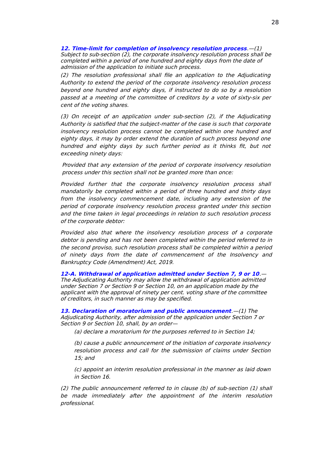**[12. Time-limit for completion of insolvency resolution process](https://www.scconline.com/Members/BrowseResult.aspx#BS012)**.—(1) Subject to sub-section (2), the corporate insolvency resolution process shall be completed within a period of one hundred and eighty days from the date of admission of the application to initiate such process.

(2) The resolution professional shall file an application to the Adjudicating Authority to extend the period of the corporate insolvency resolution process beyond one hundred and eighty days, if instructed to do so by a resolution passed at a meeting of the committee of creditors by a vote of sixty-six per cent of the voting shares.

(3) On receipt of an application under sub-section (2), if the Adjudicating Authority is satisfied that the subject-matter of the case is such that corporate insolvency resolution process cannot be completed within one hundred and eighty days, it may by order extend the duration of such process beyond one hundred and eighty days by such further period as it thinks fit, but not exceeding ninety days:

Provided that any extension of the period of corporate insolvency resolution process under this section shall not be granted more than once:

Provided further that the corporate insolvency resolution process shall mandatorily be completed within a period of three hundred and thirty days from the insolvency commencement date, including any extension of the period of corporate insolvency resolution process granted under this section and the time taken in legal proceedings in relation to such resolution process of the corporate debtor:

Provided also that where the insolvency resolution process of a corporate debtor is pending and has not been completed within the period referred to in the second proviso, such resolution process shall be completed within a period of ninety days from the date of commencement of the Insolvency and Bankruptcy Code (Amendment) Act, 2019.

**[12-A. Withdrawal of application admitted under Section 7, 9 or 10](https://www.scconline.com/Members/BrowseResult.aspx#BS012A)**.— The Adjudicating Authority may allow the withdrawal of application admitted under Section 7 or Section 9 or Section 10, on an application made by the applicant with the approval of ninety per cent. voting share of the committee of creditors, in such manner as may be specified.

**[13. Declaration of moratorium and public announcement](https://www.scconline.com/Members/BrowseResult.aspx#BS013)**.—(1) The Adjudicating Authority, after admission of the application under Section 7 or Section 9 or Section 10, shall, by an order—

(a) declare a moratorium for the purposes referred to in Section 14;

(b) cause a public announcement of the initiation of corporate insolvency resolution process and call for the submission of claims under Section 15; and

(c) appoint an interim resolution professional in the manner as laid down in Section 16.

(2) The public announcement referred to in clause (b) of sub-section (1) shall be made immediately after the appointment of the interim resolution professional.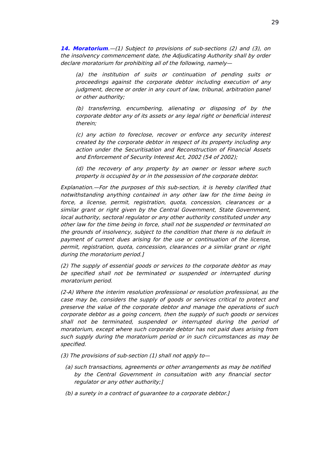**14. [Moratorium](https://www.scconline.com/Members/BrowseResult.aspx#BS014)**.—(1) Subject to provisions of sub-sections (2) and (3), on the insolvency commencement date, the Adjudicating Authority shall by order declare moratorium for prohibiting all of the following, namely—

(a) the institution of suits or continuation of pending suits or proceedings against the corporate debtor including execution of any judgment, decree or order in any court of law, tribunal, arbitration panel or other authority;

(b) transferring, encumbering, alienating or disposing of by the corporate debtor any of its assets or any legal right or beneficial interest therein;

(c) any action to foreclose, recover or enforce any security interest created by the corporate debtor in respect of its property including any action under the Securitisation and Reconstruction of Financial Assets and Enforcement of Security Interest Act, 2002 (54 of 2002);

(d) the recovery of any property by an owner or lessor where such property is occupied by or in the possession of the corporate debtor.

Explanation.—For the purposes of this sub-section, it is hereby clarified that notwithstanding anything contained in any other law for the time being in force, <sup>a</sup> license, permit, registration, quota, concession, clearances or <sup>a</sup> similar grant or right given by the Central Government, State Government, local authority, sectoral regulator or any other authority constituted under any other law for the time being in force, shall not be suspended or terminated on the grounds of insolvency, subject to the condition that there is no default in payment of current dues arising for the use or continuation of the license, permit, registration, quota, concession, clearances or a similar grant or right during the moratorium period.]

(2) The supply of essential goods or services to the corporate debtor as may be specified shall not be terminated or suspended or interrupted during moratorium period.

(2-A) Where the interim resolution professional or resolution professional, as the case may be, considers the supply of goods or services critical to protect and preserve the value of the corporate debtor and manage the operations of such corporate debtor as a going concern, then the supply of such goods or services shall not be terminated, suspended or interrupted during the period of moratorium, except where such corporate debtor has not paid dues arising from such supply during the moratorium period or in such circumstances as may be specified.

(3) The provisions of sub-section (1) shall not apply to-

- (a) such transactions, agreements or other arrangements as may be notified by the Central Government in consultation with any financial sector regulator or any other authority; ]
- (b) a surety in a contract of guarantee to a corporate debtor.]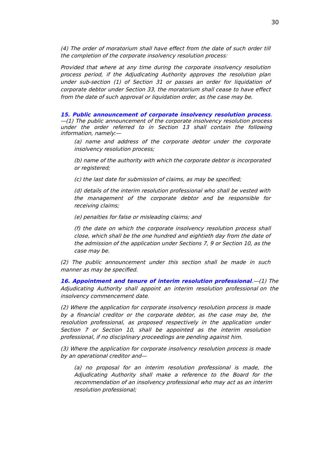(4) The order of moratorium shall have effect from the date of such order till the completion of the corporate insolvency resolution process:

Provided that where at any time during the corporate insolvency resolution process period, if the Adjudicating Authority approves the resolution plan under sub-section (1) of Section 31 or passes an order for liquidation of corporate debtor under Section 33, the moratorium shall cease to have effect from the date of such approval or liquidation order, as the case may be.

**[15. Public announcement of corporate insolvency resolution process](https://www.scconline.com/Members/BrowseResult.aspx#BS015)**.  $-(1)$  The public announcement of the corporate insolvency resolution process under the order referred to in Section 13 shall contain the following information, namely:—

(a) name and address of the corporate debtor under the corporate insolvency resolution process;

(b) name of the authority with which the corporate debtor is incorporated or registered;

(c) the last date for submission of claims, as may be specified;

(d) details of the interim resolution professional who shall be vested with the management of the corporate debtor and be responsible for receiving claims;

(e) penalties for false or misleading claims; and

(f) the date on which the corporate insolvency resolution process shall close, which shall be the one hundred and eightieth day from the date of the admission of the application under Sections 7, 9 or Section 10, as the case may be.

(2) The public announcement under this section shall be made in such manner as may be specified.

**[16. Appointment and tenure of interim resolution professional](https://www.scconline.com/Members/BrowseResult.aspx#BS016)**.—(1) The Adjudicating Authority shall appoint an interim resolution professional on the insolvency commencement date.

(2) Where the application for corporate insolvency resolution process is made by a financial creditor or the corporate debtor, as the case may be, the resolution professional, as proposed respectively in the application under Section 7 or Section 10, shall be appointed as the interim resolution professional, if no disciplinary proceedings are pending against him.

(3) Where the application for corporate insolvency resolution process is made by an operational creditor and—

(a) no proposal for an interim resolution professional is made, the Adjudicating Authority shall make <sup>a</sup> reference to the Board for the recommendation of an insolvency professional who may act as an interim resolution professional;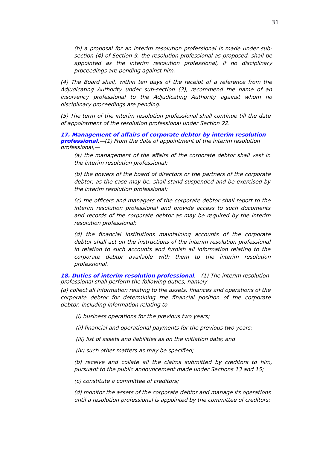(b) a proposal for an interim resolution professional is made under subsection (4) of Section 9, the resolution professional as proposed, shall be appointed as the interim resolution professional, if no disciplinary proceedings are pending against him.

(4) The Board shall, within ten days of the receipt of a reference from the Adjudicating Authority under sub-section (3), recommend the name of an insolvency professional to the Adjudicating Authority against whom no disciplinary proceedings are pending.

(5) The term of the interim resolution professional shall continue till the date of appointment of the resolution professional under Section 22.

**[17. Management of affairs of corporate debtor by interim resolution](https://www.scconline.com/Members/BrowseResult.aspx#BS017)  [professional](https://www.scconline.com/Members/BrowseResult.aspx#BS017)**.—(1) From the date of appointment of the interim resolution professional,—

(a) the management of the affairs of the corporate debtor shall vest in the interim resolution professional;

(b) the powers of the board of directors or the partners of the corporate debtor, as the case may be, shall stand suspended and be exercised by the interim resolution professional;

(c) the officers and managers of the corporate debtor shall report to the interim resolution professional and provide access to such documents and records of the corporate debtor as may be required by the interim resolution professional;

(d) the financial institutions maintaining accounts of the corporate debtor shall act on the instructions of the interim resolution professional in relation to such accounts and furnish all information relating to the corporate debtor available with them to the interim resolution professional.

**[18. Duties of interim resolution professional](https://www.scconline.com/Members/BrowseResult.aspx#BS018)**.—(1) The interim resolution professional shall perform the following duties, namely—

(a) collect all information relating to the assets, finances and operations of the corporate debtor for determining the financial position of the corporate debtor, including information relating to—

(i) business operations for the previous two years;

(ii) financial and operational payments for the previous two years;

(iii) list of assets and liabilities as on the initiation date; and

(iv) such other matters as may be specified;

(b) receive and collate all the claims submitted by creditors to him, pursuant to the public announcement made under Sections 13 and 15;

(c) constitute a committee of creditors;

(d) monitor the assets of the corporate debtor and manage its operations until a resolution professional is appointed by the committee of creditors;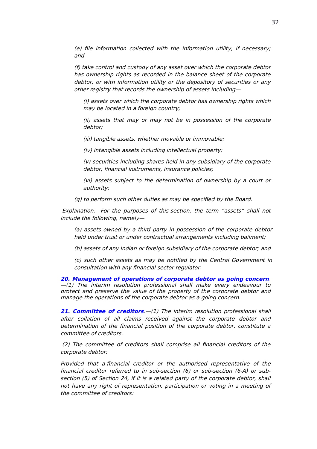(e) file information collected with the information utility, if necessary; and

(f) take control and custody of any asset over which the corporate debtor has ownership rights as recorded in the balance sheet of the corporate debtor, or with information utility or the depository of securities or any other registry that records the ownership of assets including—

(i) assets over which the corporate debtor has ownership rights which may be located in a foreign country;

(ii) assets that may or may not be in possession of the corporate debtor;

(iii) tangible assets, whether movable or immovable;

(iv) intangible assets including intellectual property;

(v) securities including shares held in any subsidiary of the corporate debtor, financial instruments, insurance policies;

(vi) assets subject to the determination of ownership by a court or authority;

(g) to perform such other duties as may be specified by the Board.

Explanation.—For the purposes of this section, the term "assets" shall not include the following, namely—

(a) assets owned by a third party in possession of the corporate debtor held under trust or under contractual arrangements including bailment;

(b) assets of any Indian or foreign subsidiary of the corporate debtor; and

(c) such other assets as may be notified by the Central Government in consultation with any financial sector regulator.

**[20. Management of operations of corporate debtor as going concern](https://www.scconline.com/Members/BrowseResult.aspx#BS020)**.  $-(1)$  The interim resolution professional shall make every endeavour to protect and preserve the value of the property of the corporate debtor and manage the operations of the corporate debtor as a going concern.

**[21. Committee of creditors](https://www.scconline.com/Members/BrowseResult.aspx#BS021).**  $-(1)$  The interim resolution professional shall after collation of all claims received against the corporate debtor and determination of the financial position of the corporate debtor, constitute a committee of creditors.

(2) The committee of creditors shall comprise all financial creditors of the corporate debtor:

Provided that <sup>a</sup> financial creditor or the authorised representative of the financial creditor referred to in sub-section (6) or sub-section (6-A) or subsection (5) of Section 24, if it is a related party of the corporate debtor, shall not have any right of representation, participation or voting in a meeting of the committee of creditors: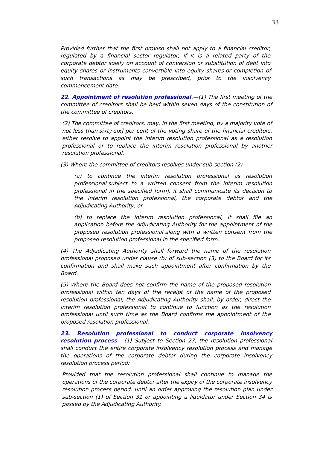Provided further that the first proviso shall not apply to a financial creditor, regulated by <sup>a</sup> financial sector regulator, if it is <sup>a</sup> related party of the corporate debtor solely on account of conversion or substitution of debt into equity shares or instruments convertible into equity shares or completion of such transactions as may be prescribed, prior to the insolvency commencement date.

**[22. Appointment of resolution professional](https://www.scconline.com/Members/BrowseResult.aspx#BS022)**.—(1) The first meeting of the committee of creditors shall be held within seven days of the constitution of the committee of creditors.

(2) The committee of creditors, may, in the first meeting, by a majority vote of not less than sixty-six] per cent of the voting share of the financial creditors, either resolve to appoint the interim resolution professional as a resolution professional or to replace the interim resolution professional by another resolution professional.

(3) Where the committee of creditors resolves under sub-section (2)—

(a) to continue the interim resolution professional as resolution professional subject to <sup>a</sup> written consent from the interim resolution professional in the specified form], it shall communicate its decision to the interim resolution professional, the corporate debtor and the Adjudicating Authority; or

(b) to replace the interim resolution professional, it shall file an application before the Adjudicating Authority for the appointment of the proposed resolution professional along with a written consent from the proposed resolution professional in the specified form.

(4) The Adjudicating Authority shall forward the name of the resolution professional proposed under clause (b) of sub-section (3) to the Board for its confirmation and shall make such appointment after confirmation by the Board.

(5) Where the Board does not confirm the name of the proposed resolution professional within ten days of the receipt of the name of the proposed resolution professional, the Adjudicating Authority shall, by order, direct the interim resolution professional to continue to function as the resolution professional until such time as the Board confirms the appointment of the proposed resolution professional.

**23. Resolution [professional](https://www.scconline.com/Members/BrowseResult.aspx#BS023) to conduct corporate insolvency [resolution](https://www.scconline.com/Members/BrowseResult.aspx#BS023) process.**—(1) Subject to Section 27, the resolution professional shall conduct the entire corporate insolvency resolution process and manage the operations of the corporate debtor during the corporate insolvency resolution process period:

Provided that the resolution professional shall continue to manage the operations of the corporate debtor after the expiry of the corporate insolvency resolution process period, until an order approving the resolution plan under sub-section (1) of Section 31 or appointing a liquidator under Section 34 is passed by the Adjudicating Authority.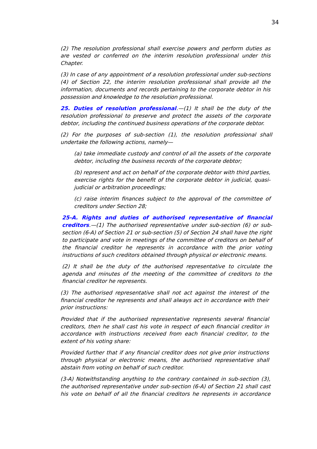(2) The resolution professional shall exercise powers and perform duties as are vested or conferred on the interim resolution professional under this Chapter.

(3) In case of any appointment of a resolution professional under sub-sections (4) of Section 22, the interim resolution professional shall provide all the information, documents and records pertaining to the corporate debtor in his possession and knowledge to the resolution professional.

**25. Duties of resolution [professional](https://www.scconline.com/Members/BrowseResult.aspx#BS025)**.—(1) It shall be the duty of the resolution professional to preserve and protect the assets of the corporate debtor, including the continued business operations of the corporate debtor.

(2) For the purposes of sub-section (1), the resolution professional shall undertake the following actions, namely—

(a) take immediate custody and control of all the assets of the corporate debtor, including the business records of the corporate debtor;

(b) represent and act on behalf of the corporate debtor with third parties, exercise rights for the benefit of the corporate debtor in judicial, quasijudicial or arbitration proceedings;

(c) raise interim finances subject to the approval of the committee of creditors under Section 28;

**25-A. Rights and duties of authorised [representative](https://www.scconline.com/Members/BrowseResult.aspx#BS025A) of financial [creditors](https://www.scconline.com/Members/BrowseResult.aspx#BS025A)**.—(1) The authorised representative under sub-section (6) or subsection (6-A) of Section 21 or sub-section (5) of Section 24 shall have the right to participate and vote in meetings of the committee of creditors on behalf of the financial creditor he represents in accordance with the prior voting instructions of such creditors obtained through physical or electronic means.

(2) It shall be the duty of the authorised representative to circulate the agenda and minutes of the meeting of the committee of creditors to the financial creditor he represents.

(3) The authorised representative shall not act against the interest of the financial creditor he represents and shall always act in accordance with their prior instructions:

Provided that if the authorised representative represents several financial creditors, then he shall cast his vote in respect of each financial creditor in accordance with instructions received from each financial creditor, to the extent of his voting share:

Provided further that if any financial creditor does not give prior instructions through physical or electronic means, the authorised representative shall abstain from voting on behalf of such creditor.

(3-A) Notwithstanding anything to the contrary contained in sub-section (3), the authorised representative under sub-section (6-A) of Section 21 shall cast his vote on behalf of all the financial creditors he represents in accordance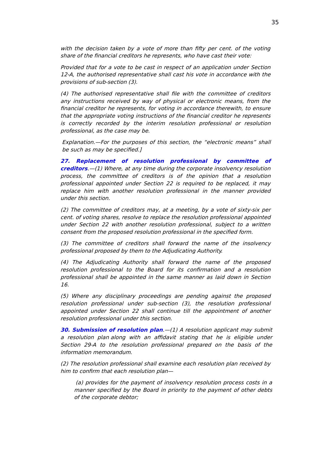with the decision taken by a vote of more than fifty per cent. of the voting share of the financial creditors he represents, who have cast their vote:

Provided that for a vote to be cast in respect of an application under Section 12-A, the authorised representative shall cast his vote in accordance with the provisions of sub-section (3).

(4) The authorised representative shall file with the committee of creditors any instructions received by way of physical or electronic means, from the financial creditor he represents, for voting in accordance therewith, to ensure that the appropriate voting instructions of the financial creditor he represents is correctly recorded by the interim resolution professional or resolution professional, as the case may be.

Explanation.—For the purposes of this section, the "electronic means" shall be such as may be specified.]

**27. [Replacement](https://www.scconline.com/Members/BrowseResult.aspx#BS027) of resolution professional by committee of [creditors](https://www.scconline.com/Members/BrowseResult.aspx#BS027)**.—(1) Where, at any time during the corporate insolvency resolution process, the committee of creditors is of the opinion that <sup>a</sup> resolution professional appointed under Section 22 is required to be replaced, it may replace him with another resolution professional in the manner provided under this section.

(2) The committee of creditors may, at a meeting, by a vote of sixty-six per cent. of voting shares, resolve to replace the resolution professional appointed under Section 22 with another resolution professional, subject to a written consent from the proposed resolution professional in the specified form.

(3) The committee of creditors shall forward the name of the insolvency professional proposed by them to the Adjudicating Authority.

(4) The Adjudicating Authority shall forward the name of the proposed resolution professional to the Board for its confirmation and a resolution professional shall be appointed in the same manner as laid down in Section 16.

(5) Where any disciplinary proceedings are pending against the proposed resolution professional under sub-section (3), the resolution professional appointed under Section 22 shall continue till the appointment of another resolution professional under this section.

**[30. Submission of resolution plan](https://www.scconline.com/Members/BrowseResult.aspx#BS030).** - (1) A resolution applicant may submit <sup>a</sup> resolution plan along with an affidavit stating that he is eligible under Section 29-A to the resolution professional prepared on the basis of the information memorandum.

(2) The resolution professional shall examine each resolution plan received by him to confirm that each resolution plan—

(a) provides for the payment of insolvency resolution process costs in a manner specified by the Board in priority to the payment of other debts of the corporate debtor;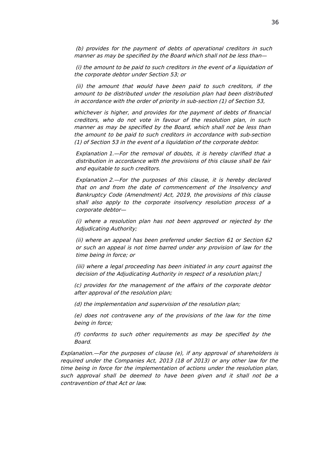(b) provides for the payment of debts of operational creditors in such manner as may be specified by the Board which shall not be less than—

(i) the amount to be paid to such creditors in the event of a liquidation of the corporate debtor under Section 53; or

(ii) the amount that would have been paid to such creditors, if the amount to be distributed under the resolution plan had been distributed in accordance with the order of priority in sub-section (1) of Section 53,

whichever is higher, and provides for the payment of debts of financial creditors, who do not vote in favour of the resolution plan, in such manner as may be specified by the Board, which shall not be less than the amount to be paid to such creditors in accordance with sub-section (1) of Section 53 in the event of a liquidation of the corporate debtor.

Explanation 1.—For the removal of doubts, it is hereby clarified that a distribution in accordance with the provisions of this clause shall be fair and equitable to such creditors.

Explanation 2.—For the purposes of this clause, it is hereby declared that on and from the date of commencement of the Insolvency and Bankruptcy Code (Amendment) Act, 2019, the provisions of this clause shall also apply to the corporate insolvency resolution process of a corporate debtor—

(i) where a resolution plan has not been approved or rejected by the Adjudicating Authority;

(ii) where an appeal has been preferred under Section 61 or Section 62 or such an appeal is not time barred under any provision of law for the time being in force; or

(iii) where a legal proceeding has been initiated in any court against the decision of the Adjudicating Authority in respect of a resolution plan;]

(c) provides for the management of the affairs of the corporate debtor after approval of the resolution plan;

(d) the implementation and supervision of the resolution plan;

(e) does not contravene any of the provisions of the law for the time being in force;

(f) conforms to such other requirements as may be specified by the Board.

Explanation.—For the purposes of clause (e), if any approval of shareholders is required under the Companies Act, 2013 (18 of 2013) or any other law for the time being in force for the implementation of actions under the resolution plan, such approval shall be deemed to have been given and it shall not be <sup>a</sup> contravention of that Act or law.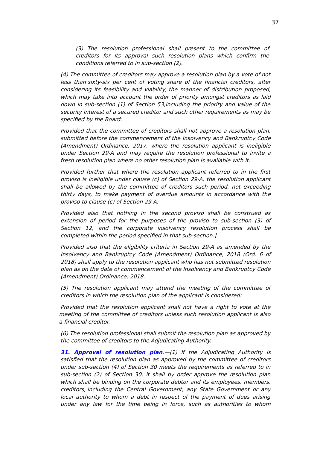(3) The resolution professional shall present to the committee of creditors for its approval such resolution plans which confirm the conditions referred to in sub-section (2).

(4) The committee of creditors may approve a resolution plan by a vote of not less than sixty-six per cent of voting share of the financial creditors, after considering its feasibility and viability, the manner of distribution proposed, which may take into account the order of priority amongst creditors as laid down in sub-section (1) of Section 53,including the priority and value of the security interest of a secured creditor and such other requirements as may be specified by the Board:

Provided that the committee of creditors shall not approve a resolution plan, submitted before the commencement of the Insolvency and Bankruptcy Code (Amendment) Ordinance, 2017, where the resolution applicant is ineligible under Section 29-A and may require the resolution professional to invite a fresh resolution plan where no other resolution plan is available with it:

Provided further that where the resolution applicant referred to in the first proviso is ineligible under clause (c) of Section 29-A, the resolution applicant shall be allowed by the committee of creditors such period, not exceeding thirty days, to make payment of overdue amounts in accordance with the proviso to clause (c) of Section 29-A:

Provided also that nothing in the second proviso shall be construed as extension of period for the purposes of the proviso to sub-section (3) of Section 12, and the corporate insolvency resolution process shall be completed within the period specified in that sub-section.]

Provided also that the eligibility criteria in Section 29-A as amended by the Insolvency and Bankruptcy Code (Amendment) Ordinance, 2018 (Ord. 6 of 2018) shall apply to the resolution applicant who has not submitted resolution plan as on the date of commencement of the Insolvency and Bankruptcy Code (Amendment) Ordinance, 2018.

(5) The resolution applicant may attend the meeting of the committee of creditors in which the resolution plan of the applicant is considered:

Provided that the resolution applicant shall not have a right to vote at the meeting of the committee of creditors unless such resolution applicant is also a financial creditor.

(6) The resolution professional shall submit the resolution plan as approved by the committee of creditors to the Adjudicating Authority.

**31. [Approval](https://www.scconline.com/Members/BrowseResult.aspx#BS031) of resolution plan**.—(1) If the Adjudicating Authority is satisfied that the resolution plan as approved by the committee of creditors under sub-section (4) of Section 30 meets the requirements as referred to in sub-section (2) of Section 30, it shall by order approve the resolution plan which shall be binding on the corporate debtor and its employees, members, creditors, including the Central Government, any State Government or any local authority to whom a debt in respect of the payment of dues arising under any law for the time being in force, such as authorities to whom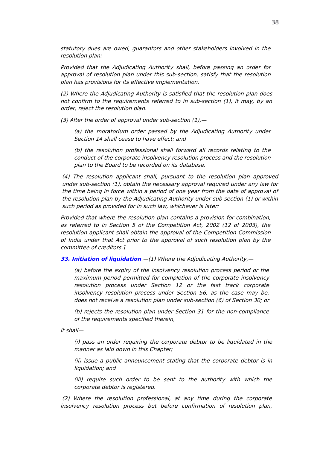statutory dues are owed, guarantors and other stakeholders involved in the resolution plan:

Provided that the Adjudicating Authority shall, before passing an order for approval of resolution plan under this sub-section, satisfy that the resolution plan has provisions for its effective implementation.

(2) Where the Adjudicating Authority is satisfied that the resolution plan does not confirm to the requirements referred to in sub-section (1), it may, by an order, reject the resolution plan.

(3) After the order of approval under sub-section  $(1)$ , -

(a) the moratorium order passed by the Adjudicating Authority under Section 14 shall cease to have effect; and

(b) the resolution professional shall forward all records relating to the conduct of the corporate insolvency resolution process and the resolution plan to the Board to be recorded on its database.

(4) The resolution applicant shall, pursuant to the resolution plan approved under sub-section (1), obtain the necessary approval required under any law for the time being in force within a period of one year from the date of approval of the resolution plan by the Adjudicating Authority under sub-section (1) or within such period as provided for in such law, whichever is later:

Provided that where the resolution plan contains a provision for combination, as referred to in Section 5 of the Competition Act, 2002 (12 of 2003), the resolution applicant shall obtain the approval of the Competition Commission of India under that Act prior to the approval of such resolution plan by the committee of creditors.]

**[33. Initiation of liquidation](https://www.scconline.com/Members/BrowseResult.aspx#BS033).**—(1) Where the Adjudicating Authority,—

(a) before the expiry of the insolvency resolution process period or the maximum period permitted for completion of the corporate insolvency resolution process under Section 12 or the fast track corporate insolvency resolution process under Section 56, as the case may be, does not receive a resolution plan under sub-section (6) of Section 30; or

(b) rejects the resolution plan under Section 31 for the non-compliance of the requirements specified therein,

it shall—

(i) pass an order requiring the corporate debtor to be liquidated in the manner as laid down in this Chapter;

(ii) issue a public announcement stating that the corporate debtor is in liquidation; and

(iii) require such order to be sent to the authority with which the corporate debtor is registered.

(2) Where the resolution professional, at any time during the corporate insolvency resolution process but before confirmation of resolution plan,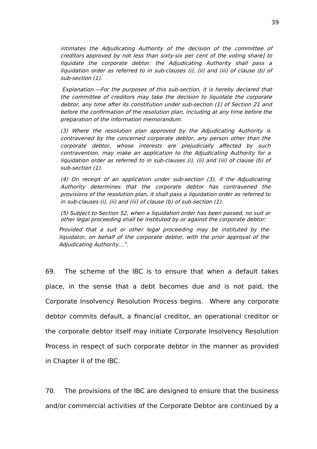intimates the Adjudicating Authority of the decision of the committee of creditors approved by not less than sixty-six per cent of the voting share] to liquidate the corporate debtor, the Adjudicating Authority shall pass <sup>a</sup> liquidation order as referred to in sub-clauses (i), (ii) and (iii) of clause (b) of sub-section (1).

Explanation.—For the purposes of this sub-section, it is hereby declared that the committee of creditors may take the decision to liquidate the corporate debtor, any time after its constitution under sub-section (1) of Section 21 and before the confirmation of the resolution plan, including at any time before the preparation of the information memorandum.

(3) Where the resolution plan approved by the Adjudicating Authority is contravened by the concerned corporate debtor, any person other than the corporate debtor, whose interests are prejudicially affected by such contravention, may make an application to the Adjudicating Authority for a liquidation order as referred to in sub-clauses (i), (ii) and (iii) of clause (b) of sub-section (1).

(4) On receipt of an application under sub-section (3), if the Adjudicating Authority determines that the corporate debtor has contravened the provisions of the resolution plan, it shall pass a liquidation order as referred to in sub-clauses (i), (ii) and (iii) of clause (b) of sub-section (1).

(5) Subject to Section 52, when a liquidation order has been passed, no suit or other legal proceeding shall be instituted by or against the corporate debtor:

Provided that <sup>a</sup> suit or other legal proceeding may be instituted by the liquidator, on behalf of the corporate debtor, with the prior approval of the Adjudicating Authority…".

69. The scheme of the IBC is to ensure that when a default takes place, in the sense that a debt becomes due and is not paid, the Corporate Insolvency Resolution Process begins.Where any corporate debtor commits default, a financial creditor, an operational creditor or the corporate debtor itself may initiate Corporate Insolvency Resolution Process in respect of such corporate debtor in the manner as provided in Chapter II of the IBC.

70. The provisions of the IBC are designed to ensure that the business and/or commercial activities of the Corporate Debtor are continued by a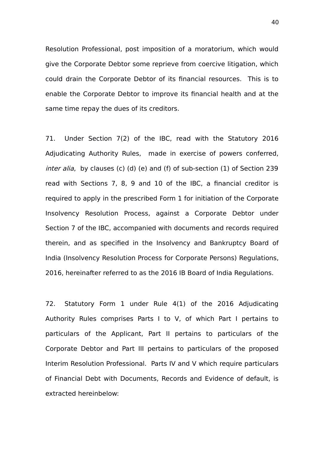Resolution Professional, post imposition of a moratorium, which would give the Corporate Debtor some reprieve from coercive litigation, which could drain the Corporate Debtor of its financial resources. This is to enable the Corporate Debtor to improve its financial health and at the same time repay the dues of its creditors.

71. Under Section 7(2) of the IBC, read with the Statutory 2016 Adjudicating Authority Rules, made in exercise of powers conferred, inter alia, by clauses (c) (d) (e) and (f) of sub-section (1) of Section 239 read with Sections 7, 8, 9 and 10 of the IBC, a financial creditor is required to apply in the prescribed Form 1 for initiation of the Corporate Insolvency Resolution Process, against a Corporate Debtor under Section 7 of the IBC, accompanied with documents and records required therein, and as specified in the Insolvency and Bankruptcy Board of India (Insolvency Resolution Process for Corporate Persons) Regulations, 2016, hereinafter referred to as the 2016 IB Board of India Regulations.

72. Statutory Form 1 under Rule 4(1) of the 2016 Adjudicating Authority Rules comprises Parts I to V, of which Part I pertains to particulars of the Applicant, Part II pertains to particulars of the Corporate Debtor and Part III pertains to particulars of the proposed Interim Resolution Professional. Parts IV and V which require particulars of Financial Debt with Documents, Records and Evidence of default, is extracted hereinbelow: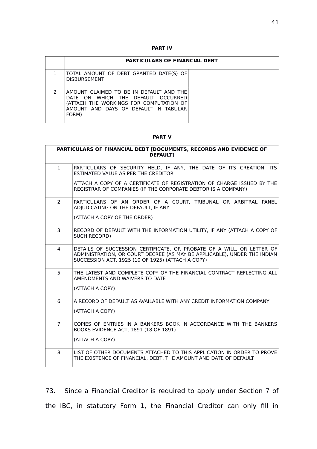### **PART IV**

|               | <b>PARTICULARS OF FINANCIAL DEBT</b>                                                                                                                                       |  |
|---------------|----------------------------------------------------------------------------------------------------------------------------------------------------------------------------|--|
|               | TOTAL AMOUNT OF DEBT GRANTED DATE(S) OF<br><b>DISBURSEMENT</b>                                                                                                             |  |
| $\mathcal{L}$ | AMOUNT CLAIMED TO BE IN DEFAULT AND THE<br>DATE ON WHICH THE DEFAULT OCCURRED<br>(ATTACH THE WORKINGS FOR COMPUTATION OF<br>AMOUNT AND DAYS OF DEFAULT IN TABULAR<br>FORM) |  |

#### **PART V**

| PARTICULARS OF FINANCIAL DEBT [DOCUMENTS, RECORDS AND EVIDENCE OF<br><b>DEFAULT]</b> |                                                                                                                                                                                                        |  |
|--------------------------------------------------------------------------------------|--------------------------------------------------------------------------------------------------------------------------------------------------------------------------------------------------------|--|
| $\mathbf{1}$                                                                         | PARTICULARS OF SECURITY HELD, IF ANY, THE DATE OF ITS CREATION, ITS<br>ESTIMATED VALUE AS PER THE CREDITOR.                                                                                            |  |
|                                                                                      | ATTACH A COPY OF A CERTIFICATE OF REGISTRATION OF CHARGE ISSUED BY THE<br>REGISTRAR OF COMPANIES (IF THE CORPORATE DEBTOR IS A COMPANY)                                                                |  |
| $\mathcal{P}$                                                                        | PARTICULARS OF AN ORDER OF A COURT, TRIBUNAL OR ARBITRAL PANEL<br>ADJUDICATING ON THE DEFAULT, IF ANY                                                                                                  |  |
|                                                                                      | (ATTACH A COPY OF THE ORDER)                                                                                                                                                                           |  |
| 3                                                                                    | RECORD OF DEFAULT WITH THE INFORMATION UTILITY, IF ANY (ATTACH A COPY OF<br><b>SUCH RECORD)</b>                                                                                                        |  |
| $\overline{4}$                                                                       | DETAILS OF SUCCESSION CERTIFICATE, OR PROBATE OF A WILL, OR LETTER OF<br>ADMINISTRATION, OR COURT DECREE (AS MAY BE APPLICABLE), UNDER THE INDIAN<br>SUCCESSION ACT, 1925 (10 OF 1925) (ATTACH A COPY) |  |
| 5                                                                                    | THE LATEST AND COMPLETE COPY OF THE FINANCIAL CONTRACT REFLECTING ALL<br>AMENDMENTS AND WAIVERS TO DATE                                                                                                |  |
|                                                                                      | (ATTACH A COPY)                                                                                                                                                                                        |  |
| 6                                                                                    | A RECORD OF DEFAULT AS AVAILABLE WITH ANY CREDIT INFORMATION COMPANY<br>(ATTACH A COPY)                                                                                                                |  |
| $\overline{7}$                                                                       | COPIES OF ENTRIES IN A BANKERS BOOK IN ACCORDANCE WITH THE BANKERS<br>BOOKS EVIDENCE ACT, 1891 (18 OF 1891)<br>(ATTACH A COPY)                                                                         |  |
|                                                                                      |                                                                                                                                                                                                        |  |
| 8                                                                                    | LIST OF OTHER DOCUMENTS ATTACHED TO THIS APPLICATION IN ORDER TO PROVE<br>THE EXISTENCE OF FINANCIAL, DEBT, THE AMOUNT AND DATE OF DEFAULT                                                             |  |

73. Since a Financial Creditor is required to apply under Section 7 of the IBC, in statutory Form 1, the Financial Creditor can only fill in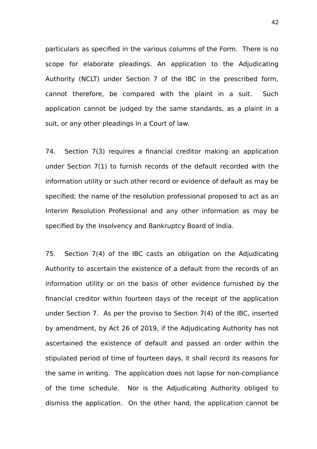particulars as specified in the various columns of the Form. There is no scope for elaborate pleadings. An application to the Adjudicating Authority (NCLT) under Section 7 of the IBC in the prescribed form, cannot therefore, be compared with the plaint in a suit. Such application cannot be judged by the same standards, as a plaint in a suit, or any other pleadings in a Court of law.

74. Section 7(3) requires a financial creditor making an application under Section 7(1) to furnish records of the default recorded with the information utility or such other record or evidence of default as may be specified; the name of the resolution professional proposed to act as an Interim Resolution Professional and any other information as may be specified by the Insolvency and Bankruptcy Board of India.

75. Section 7(4) of the IBC casts an obligation on the Adjudicating Authority to ascertain the existence of a default from the records of an information utility or on the basis of other evidence furnished by the financial creditor within fourteen days of the receipt of the application under Section 7. As per the proviso to Section 7(4) of the IBC, inserted by amendment, by Act 26 of 2019, if the Adjudicating Authority has not ascertained the existence of default and passed an order within the stipulated period of time of fourteen days, it shall record its reasons for the same in writing. The application does not lapse for non-compliance of the time schedule. Nor is the Adjudicating Authority obliged to dismiss the application. On the other hand, the application cannot be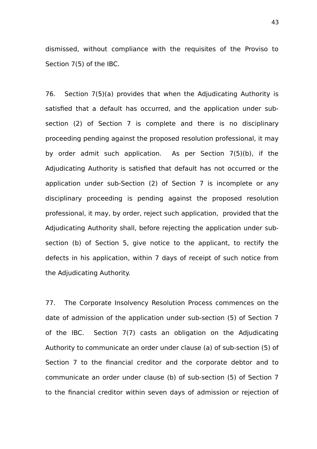dismissed, without compliance with the requisites of the Proviso to Section 7(5) of the IBC.

76. Section 7(5)(a) provides that when the Adjudicating Authority is satisfied that a default has occurred, and the application under subsection (2) of Section 7 is complete and there is no disciplinary proceeding pending against the proposed resolution professional, it may by order admit such application. As per Section 7(5)(b), if the Adjudicating Authority is satisfied that default has not occurred or the application under sub-Section (2) of Section 7 is incomplete or any disciplinary proceeding is pending against the proposed resolution professional, it may, by order, reject such application, provided that the Adjudicating Authority shall, before rejecting the application under subsection (b) of Section 5, give notice to the applicant, to rectify the defects in his application, within 7 days of receipt of such notice from the Adjudicating Authority.

77. The Corporate Insolvency Resolution Process commences on the date of admission of the application under sub-section (5) of Section 7 of the IBC. Section 7(7) casts an obligation on the Adjudicating Authority to communicate an order under clause (a) of sub-section (5) of Section 7 to the financial creditor and the corporate debtor and to communicate an order under clause (b) of sub-section (5) of Section 7 to the financial creditor within seven days of admission or rejection of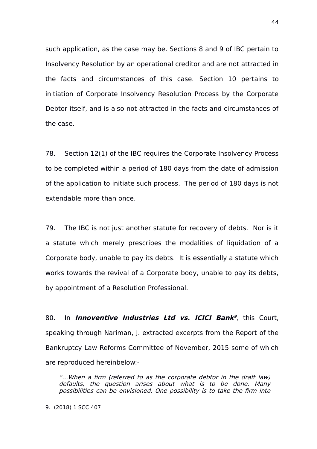such application, as the case may be. Sections 8 and 9 of IBC pertain to Insolvency Resolution by an operational creditor and are not attracted in the facts and circumstances of this case. Section 10 pertains to initiation of Corporate Insolvency Resolution Process by the Corporate Debtor itself, and is also not attracted in the facts and circumstances of the case.

78. Section 12(1) of the IBC requires the Corporate Insolvency Process to be completed within a period of 180 days from the date of admission of the application to initiate such process. The period of 180 days is not extendable more than once.

79. The IBC is not just another statute for recovery of debts. Nor is it a statute which merely prescribes the modalities of liquidation of a Corporate body, unable to pay its debts. It is essentially a statute which works towards the revival of a Corporate body, unable to pay its debts, by appointment of a Resolution Professional.

80. In **Innoventive Industries Ltd vs. ICICI Ban[k](#page-43-0) 9** , this Court, speaking through Nariman, J. extracted excerpts from the Report of the Bankruptcy Law Reforms Committee of November, 2015 some of which are reproduced hereinbelow:-

"…When a firm (referred to as the corporate debtor in the draft law) defaults, the question arises about what is to be done. Many possibilities can be envisioned. One possibility is to take the firm into

<span id="page-43-0"></span>9. (2018) 1 SCC 407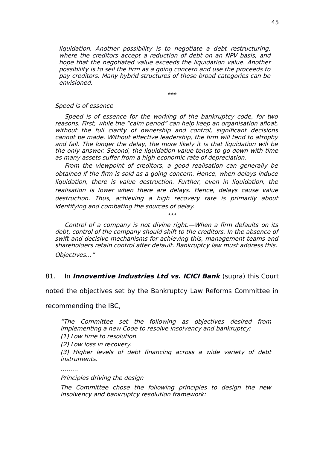liquidation. Another possibility is to negotiate <sup>a</sup> debt restructuring, where the creditors accept a reduction of debt on an NPV basis, and hope that the negotiated value exceeds the liquidation value. Another possibility is to sell the firm as a going concern and use the proceeds to pay creditors. Many hybrid structures of these broad categories can be envisioned.

\*\*\*

### Speed is of essence

Speed is of essence for the working of the bankruptcy code, for two reasons. First, while the "calm period" can help keep an organisation afloat, without the full clarity of ownership and control, significant decisions cannot be made. Without effective leadership, the firm will tend to atrophy and fail. The longer the delay, the more likely it is that liquidation will be the only answer. Second, the liquidation value tends to go down with time as many assets suffer from a high economic rate of depreciation.

From the viewpoint of creditors, a good realisation can generally be obtained if the firm is sold as a going concern. Hence, when delays induce liquidation, there is value destruction. Further, even in liquidation, the realisation is lower when there are delays. Hence, delays cause value destruction. Thus, achieving <sup>a</sup> high recovery rate is primarily about identifying and combating the sources of delay.

Control of a company is not divine right.—When a firm defaults on its debt, control of the company should shift to the creditors. In the absence of swift and decisive mechanisms for achieving this, management teams and shareholders retain control after default. Bankruptcy law must address this. Objectives…"

\*\*\*

## 81. In **Innoventive Industries Ltd vs. ICICI Bank** (supra) this Court

noted the objectives set by the Bankruptcy Law Reforms Committee in

recommending the IBC,

"The Committee set the following as objectives desired from implementing a new Code to resolve insolvency and bankruptcy: (1) Low time to resolution. (2) Low loss in recovery. (3) Higher levels of debt financing across <sup>a</sup> wide variety of debt instruments. ………

Principles driving the design

The Committee chose the following principles to design the new insolvency and bankruptcy resolution framework: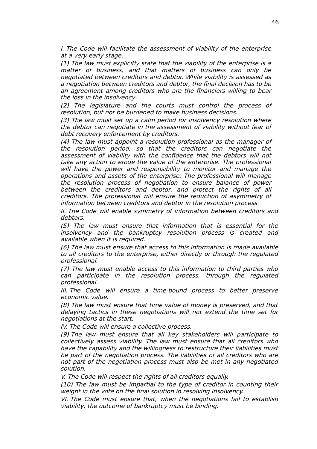I. The Code will facilitate the assessment of viability of the enterprise at a very early stage.

(1) The law must explicitly state that the viability of the enterprise is a matter of business, and that matters of business can only be negotiated between creditors and debtor. While viability is assessed as a negotiation between creditors and debtor, the final decision has to be an agreement among creditors who are the financiers willing to bear the loss in the insolvency.

(2) The legislature and the courts must control the process of resolution, but not be burdened to make business decisions.

(3) The law must set up a calm period for insolvency resolution where the debtor can negotiate in the assessment of viability without fear of debt recovery enforcement by creditors.

(4) The law must appoint a resolution professional as the manager of the resolution period, so that the creditors can negotiate the assessment of viability with the confidence that the debtors will not take any action to erode the value of the enterprise. The professional will have the power and responsibility to monitor and manage the operations and assets of the enterprise. The professional will manage the resolution process of negotiation to ensure balance of power between the creditors and debtor, and protect the rights of all creditors. The professional will ensure the reduction of asymmetry of information between creditors and debtor in the resolution process.

II. The Code will enable symmetry of information between creditors and debtors.

(5) The law must ensure that information that is essential for the insolvency and the bankruptcy resolution process is created and available when it is required.

(6) The law must ensure that access to this information is made available to all creditors to the enterprise, either directly or through the regulated professional.

(7) The law must enable access to this information to third parties who can participate in the resolution process, through the regulated professional.

III. The Code will ensure <sup>a</sup> time-bound process to better preserve economic value.

(8) The law must ensure that time value of money is preserved, and that delaying tactics in these negotiations will not extend the time set for negotiations at the start.

IV. The Code will ensure a collective process.

(9) The law must ensure that all key stakeholders will participate to collectively assess viability. The law must ensure that all creditors who have the capability and the willingness to restructure their liabilities must be part of the negotiation process. The liabilities of all creditors who are not part of the negotiation process must also be met in any negotiated solution.

V. The Code will respect the rights of all creditors equally.

(10) The law must be impartial to the type of creditor in counting their weight in the vote on the final solution in resolving insolvency.

VI. The Code must ensure that, when the negotiations fail to establish viability, the outcome of bankruptcy must be binding.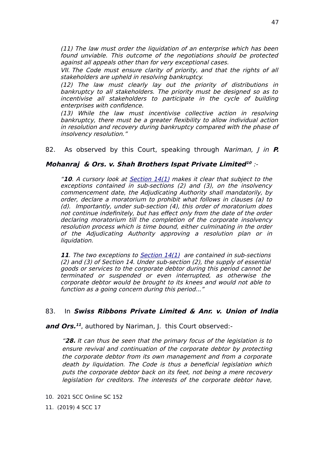(11) The law must order the liquidation of an enterprise which has been found unviable. This outcome of the negotiations should be protected against all appeals other than for very exceptional cases.

VII. The Code must ensure clarity of priority, and that the rights of all stakeholders are upheld in resolving bankruptcy.

(12) The law must clearly lay out the priority of distributions in bankruptcy to all stakeholders. The priority must be designed so as to incentivise all stakeholders to participate in the cycle of building enterprises with confidence.

(13) While the law must incentivise collective action in resolving bankruptcy, there must be a greater flexibility to allow individual action in resolution and recovery during bankruptcy compared with the phase of insolvency resolution."

82. As observed by this Court, speaking through Nariman, J in **P.**

# **Mohanraj & Ors. v. Shah Brothers Ispat Private Limited [10](#page-46-0)** :-

"**10**. A cursory look at [Section 14\(1\)](https://indiankanoon.org/doc/173961/) makes it clear that subject to the exceptions contained in sub-sections (2) and (3), on the insolvency commencement date, the Adjudicating Authority shall mandatorily, by order, declare a moratorium to prohibit what follows in clauses (a) to (d). Importantly, under sub-section (4), this order of moratorium does not continue indefinitely, but has effect only from the date of the order declaring moratorium till the completion of the corporate insolvency resolution process which is time bound, either culminating in the order of the Adjudicating Authority approving <sup>a</sup> resolution plan or in liquidation.

**11**. The two exceptions to [Section 14\(1\)](https://indiankanoon.org/doc/173961/) are contained in sub-sections (2) and (3) of [Section 14](https://indiankanoon.org/doc/173961/). Under sub-section (2), the supply of essential goods or services to the corporate debtor during this period cannot be terminated or suspended or even interrupted, as otherwise the corporate debtor would be brought to its knees and would not able to function as a going concern during this period..."

# 83. In **Swiss Ribbons Private Limited & Anr. v. Union of India**

and Ors.<sup>[11](#page-46-1)</sup>, authored by Nariman, J. this Court observed:-

"**28.** It can thus be seen that the primary focus of the legislation is to ensure revival and continuation of the corporate debtor by protecting the corporate debtor from its own management and from a corporate death by liquidation. The Code is thus a beneficial legislation which puts the corporate debtor back on its feet, not being a mere recovery legislation for creditors. The interests of the corporate debtor have,

- <span id="page-46-0"></span>10. 2021 SCC Online SC 152
- <span id="page-46-1"></span>11. (2019) 4 SCC 17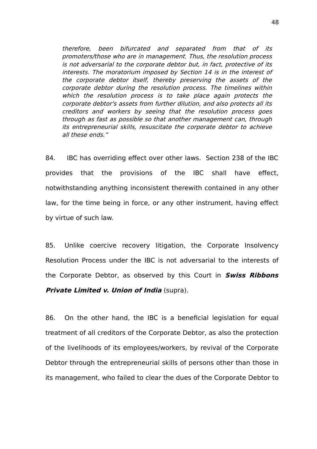therefore, been bifurcated and separated from that of its promoters/those who are in management. Thus, the resolution process is not adversarial to the corporate debtor but, in fact, protective of its interests. The moratorium imposed by Section 14 is in the interest of the corporate debtor itself, thereby preserving the assets of the corporate debtor during the resolution process. The timelines within which the resolution process is to take place again protects the corporate debtor's assets from further dilution, and also protects all its creditors and workers by seeing that the resolution process goes through as fast as possible so that another management can, through its entrepreneurial skills, resuscitate the corporate debtor to achieve all these ends."

84. IBC has overriding effect over other laws. Section 238 of the IBC provides that the provisions of the IBC shall have effect, notwithstanding anything inconsistent therewith contained in any other law, for the time being in force, or any other instrument, having effect by virtue of such law.

85. Unlike coercive recovery litigation, the Corporate Insolvency Resolution Process under the IBC is not adversarial to the interests of the Corporate Debtor, as observed by this Court in **Swiss Ribbons Private Limited v. Union of India** (supra).

86. On the other hand, the IBC is a beneficial legislation for equal treatment of all creditors of the Corporate Debtor, as also the protection of the livelihoods of its employees/workers, by revival of the Corporate Debtor through the entrepreneurial skills of persons other than those in its management, who failed to clear the dues of the Corporate Debtor to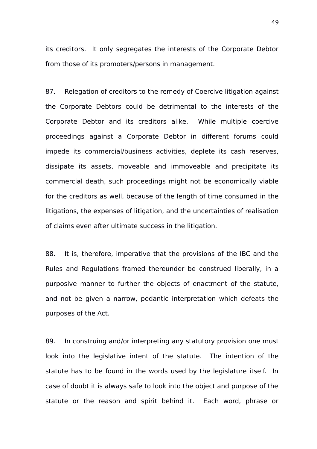its creditors. It only segregates the interests of the Corporate Debtor from those of its promoters/persons in management.

87. Relegation of creditors to the remedy of Coercive litigation against the Corporate Debtors could be detrimental to the interests of the Corporate Debtor and its creditors alike. While multiple coercive proceedings against a Corporate Debtor in different forums could impede its commercial/business activities, deplete its cash reserves, dissipate its assets, moveable and immoveable and precipitate its commercial death, such proceedings might not be economically viable for the creditors as well, because of the length of time consumed in the litigations, the expenses of litigation, and the uncertainties of realisation of claims even after ultimate success in the litigation.

88. It is, therefore, imperative that the provisions of the IBC and the Rules and Regulations framed thereunder be construed liberally, in a purposive manner to further the objects of enactment of the statute, and not be given a narrow, pedantic interpretation which defeats the purposes of the Act.

89. In construing and/or interpreting any statutory provision one must look into the legislative intent of the statute. The intention of the statute has to be found in the words used by the legislature itself. In case of doubt it is always safe to look into the object and purpose of the statute or the reason and spirit behind it. Each word, phrase or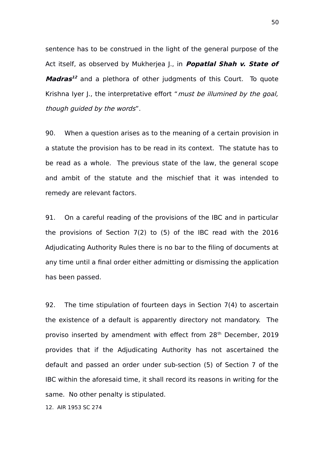sentence has to be construed in the light of the general purpose of the Act itself, as observed by Mukherjea J., in **Popatlal Shah v. State of Madras**<sup>[12](#page-49-0)</sup> and a plethora of other judgments of this Court. To quote Krishna Iyer J., the interpretative effort "must be illumined by the goal, though guided by the words".

90. When a question arises as to the meaning of a certain provision in a statute the provision has to be read in its context. The statute has to be read as a whole. The previous state of the law, the general scope and ambit of the statute and the mischief that it was intended to remedy are relevant factors.

91. On a careful reading of the provisions of the IBC and in particular the provisions of Section 7(2) to (5) of the IBC read with the 2016 Adjudicating Authority Rules there is no bar to the filing of documents at any time until a final order either admitting or dismissing the application has been passed.

92. The time stipulation of fourteen days in Section 7(4) to ascertain the existence of a default is apparently directory not mandatory. The proviso inserted by amendment with effect from 28th December, 2019 provides that if the Adjudicating Authority has not ascertained the default and passed an order under sub-section (5) of Section 7 of the IBC within the aforesaid time, it shall record its reasons in writing for the same. No other penalty is stipulated.

<span id="page-49-0"></span>12. AIR 1953 SC 274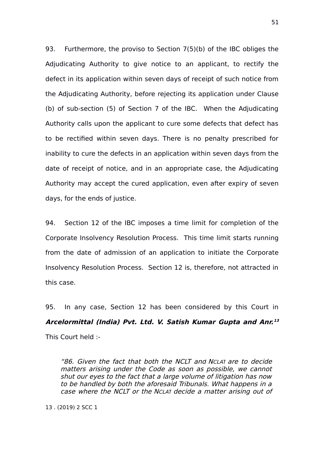93. Furthermore, the proviso to Section 7(5)(b) of the IBC obliges the Adjudicating Authority to give notice to an applicant, to rectify the defect in its application within seven days of receipt of such notice from the Adjudicating Authority, before rejecting its application under Clause (b) of sub-section (5) of Section 7 of the IBC. When the Adjudicating Authority calls upon the applicant to cure some defects that defect has to be rectified within seven days. There is no penalty prescribed for inability to cure the defects in an application within seven days from the date of receipt of notice, and in an appropriate case, the Adjudicating Authority may accept the cured application, even after expiry of seven days, for the ends of justice.

94. Section 12 of the IBC imposes a time limit for completion of the Corporate Insolvency Resolution Process. This time limit starts running from the date of admission of an application to initiate the Corporate Insolvency Resolution Process. Section 12 is, therefore, not attracted in this case.

95. In any case, Section 12 has been considered by this Court in **Arcelormittal (India) Pvt. Ltd. V. Satish Kumar Gupta and Anr. [13](#page-50-0)** This Court held :-

"86. Given the fact that both the NCLT and NCLAT are to decide matters arising under the Code as soon as possible, we cannot shut our eyes to the fact that a large volume of litigation has now to be handled by both the aforesaid Tribunals. What happens in a case where the NCLT or the NCLAT decide a matter arising out of

<span id="page-50-0"></span>13 . (2019) 2 SCC 1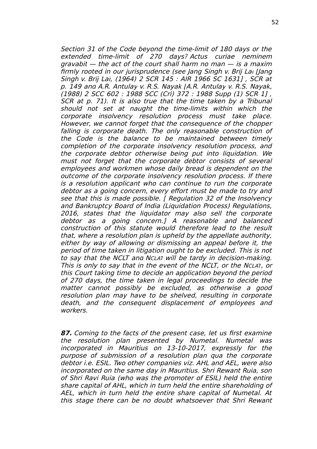Section 31 of the Code beyond the time-limit of 180 days or the extended time-limit of 270 days? Actus curiae neminem gravabit  $-$  the act of the court shall harm no man  $-$  is a maxim firmly rooted in our jurisprudence (see Jang Singh v. Brij Lal [Jang Singh v. Brij Lal, (1964) 2 SCR 145 : AIR 1966 SC 1631] , SCR at p. 149 and A.R. Antulay v. R.S. Nayak [A.R. Antulay v. R.S. Nayak, (1988) 2 SCC 602 : 1988 SCC (Cri) 372 : 1988 Supp (1) SCR 1] , SCR at p. 71). It is also true that the time taken by a Tribunal should not set at naught the time-limits within which the corporate insolvency resolution process must take place. However, we cannot forget that the consequence of the chopper falling is corporate death. The only reasonable construction of the Code is the balance to be maintained between timely completion of the corporate insolvency resolution process, and the corporate debtor otherwise being put into liquidation. We must not forget that the corporate debtor consists of several employees and workmen whose daily bread is dependent on the outcome of the corporate insolvency resolution process. If there is a resolution applicant who can continue to run the corporate debtor as a going concern, every effort must be made to try and see that this is made possible. [ Regulation 32 of the Insolvency and Bankruptcy Board of India (Liquidation Process) Regulations, 2016, states that the liquidator may also sell the corporate debtor as <sup>a</sup> going concern.] A reasonable and balanced construction of this statute would therefore lead to the result that, where a resolution plan is upheld by the appellate authority, either by way of allowing or dismissing an appeal before it, the period of time taken in litigation ought to be excluded. This is not to say that the NCLT and NCLAT will be tardy in decision-making. This is only to say that in the event of the NCLT, or the NCLAT, or this Court taking time to decide an application beyond the period of 270 days, the time taken in legal proceedings to decide the matter cannot possibly be excluded, as otherwise <sup>a</sup> good resolution plan may have to be shelved, resulting in corporate death, and the consequent displacement of employees and workers.

**87.** Coming to the facts of the present case, let us first examine the resolution plan presented by Numetal. Numetal was incorporated in Mauritius on 13-10-2017, expressly for the purpose of submission of a resolution plan qua the corporate debtor i.e. ESIL. Two other companies viz. AHL and AEL, were also incorporated on the same day in Mauritius. Shri Rewant Ruia, son of Shri Ravi Ruia (who was the promoter of ESIL) held the entire share capital of AHL, which in turn held the entire shareholding of AEL, which in turn held the entire share capital of Numetal. At this stage there can be no doubt whatsoever that Shri Rewant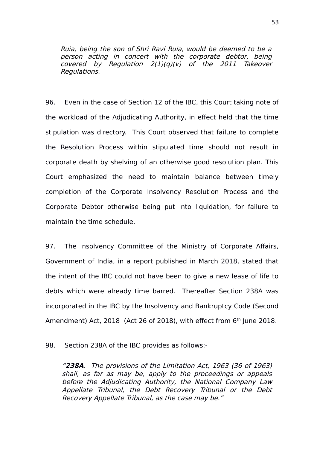Ruia, being the son of Shri Ravi Ruia, would be deemed to be a person acting in concert with the corporate debtor, being covered by Regulation  $2(1)(q)(v)$  of the 2011 Takeover Regulations.

96. Even in the case of Section 12 of the IBC, this Court taking note of the workload of the Adjudicating Authority, in effect held that the time stipulation was directory. This Court observed that failure to complete the Resolution Process within stipulated time should not result in corporate death by shelving of an otherwise good resolution plan. This Court emphasized the need to maintain balance between timely completion of the Corporate Insolvency Resolution Process and the Corporate Debtor otherwise being put into liquidation, for failure to maintain the time schedule.

97. The insolvency Committee of the Ministry of Corporate Affairs, Government of India, in a report published in March 2018, stated that the intent of the IBC could not have been to give a new lease of life to debts which were already time barred. Thereafter Section 238A was incorporated in the IBC by the Insolvency and Bankruptcy Code (Second Amendment) Act, 2018 (Act 26 of 2018), with effect from 6<sup>th</sup> June 2018.

98. Section 238A of the IBC provides as follows:-

"**238A**. The provisions of the Limitation Act, 1963 (36 of 1963) shall, as far as may be, apply to the proceedings or appeals before the Adjudicating Authority, the National Company Law Appellate Tribunal, the Debt Recovery Tribunal or the Debt Recovery Appellate Tribunal, as the case may be."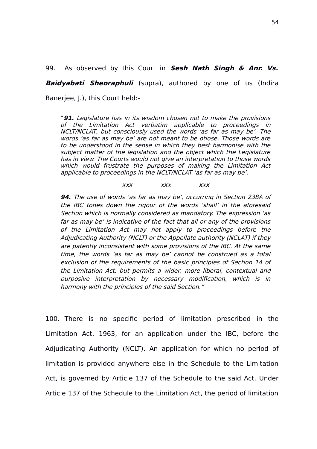# 99. As observed by this Court in **Sesh Nath Singh & Anr. Vs.**

**Baidyabati Sheoraphuli** (supra), authored by one of us (Indira Banerjee, J.), this Court held:-

"**91.** Legislature has in its wisdom chosen not to make the provisions of the Limitation Act verbatim applicable to proceedings in NCLT/NCLAT, but consciously used the words 'as far as may be'. The words 'as far as may be' are not meant to be otiose. Those words are to be understood in the sense in which they best harmonise with the subject matter of the legislation and the object which the Legislature has in view. The Courts would not give an interpretation to those words which would frustrate the purposes of making the Limitation Act applicable to proceedings in the NCLT/NCLAT 'as far as may be'.

xxx xxx xxx

**94.** The use of words 'as far as may be', occurring in Section 238A of the IBC tones down the rigour of the words 'shall' in the aforesaid Section which is normally considered as mandatory. The expression 'as far as may be' is indicative of the fact that all or any of the provisions of the Limitation Act may not apply to proceedings before the Adjudicating Authority (NCLT) or the Appellate authority (NCLAT) if they are patently inconsistent with some provisions of the IBC. At the same time, the words 'as far as may be' cannot be construed as a total exclusion of the requirements of the basic principles of Section 14 of the Limitation Act, but permits a wider, more liberal, contextual and purposive interpretation by necessary modification, which is in harmony with the principles of the said Section."

100. There is no specific period of limitation prescribed in the Limitation Act, 1963, for an application under the IBC, before the Adjudicating Authority (NCLT). An application for which no period of limitation is provided anywhere else in the Schedule to the Limitation Act, is governed by Article 137 of the Schedule to the said Act. Under Article 137 of the Schedule to the Limitation Act, the period of limitation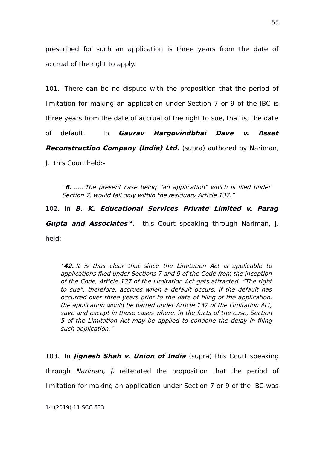prescribed for such an application is three years from the date of accrual of the right to apply.

101. There can be no dispute with the proposition that the period of limitation for making an application under Section 7 or 9 of the IBC is three years from the date of accrual of the right to sue, that is, the date of default. In **Gaurav Hargovindbhai Dave v. Asset Reconstruction Company (India) Ltd.** (supra) authored by Nariman,

J. this Court held:-

"**6.** …...The present case being "an application" which is filed under Section 7, would fall only within the residuary Article 137."

102. In **B. K. Educational Services Private Limited v. Parag Gupta and Associates [14](#page-54-0)** , this Court speaking through Nariman, J. held:-

"**42.** It is thus clear that since the Limitation Act is applicable to applications filed under Sections 7 and 9 of the Code from the inception of the Code, Article 137 of the Limitation Act gets attracted. "The right to sue", therefore, accrues when a default occurs. If the default has occurred over three years prior to the date of filing of the application, the application would be barred under Article 137 of the Limitation Act, save and except in those cases where, in the facts of the case, Section 5 of the Limitation Act may be applied to condone the delay in filing such application."

103. In **Jignesh Shah v. Union of India** (supra) this Court speaking through Nariman, J. reiterated the proposition that the period of limitation for making an application under Section 7 or 9 of the IBC was

<span id="page-54-0"></span>14 (2019) 11 SCC 633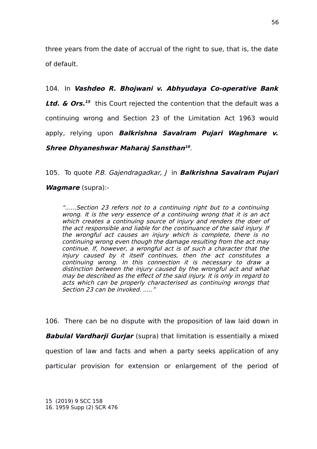three years from the date of accrual of the right to sue, that is, the date of default.

104. In **Vashdeo R. Bhojwani v. Abhyudaya Co-operative Bank** Ltd. & Ors.<sup>[15](#page-55-0)</sup> this Court rejected the contention that the default was a continuing wrong and Section 23 of the Limitation Act 1963 would

apply, relying upon **Balkrishna Savalram Pujari Waghmare v.**

**Shree Dhyaneshwar Maharaj Sansthan [16](#page-55-1)** .

105. To quote P.B. Gajendragadkar, J in **Balkrishna Savalram Pujari Wagmare** (supra):-

"......Section 23 refers not to a continuing right but to a continuing wrong. It is the very essence of a continuing wrong that it is an act which creates a continuing source of injury and renders the doer of the act responsible and liable for the continuance of the said injury. If the wrongful act causes an injury which is complete, there is no continuing wrong even though the damage resulting from the act may continue. If, however, a wrongful act is of such a character that the injury caused by it itself continues, then the act constitutes <sup>a</sup> continuing wrong. In this connection it is necessary to draw <sup>a</sup> distinction between the injury caused by the wrongful act and what may be described as the effect of the said injury. It is only in regard to acts which can be properly characterised as continuing wrongs that Section 23 can be invoked. ....."

<span id="page-55-1"></span><span id="page-55-0"></span>106. There can be no dispute with the proposition of law laid down in **Babulal Vardharji Gurjar** (supra) that limitation is essentially a mixed question of law and facts and when a party seeks application of any particular provision for extension or enlargement of the period of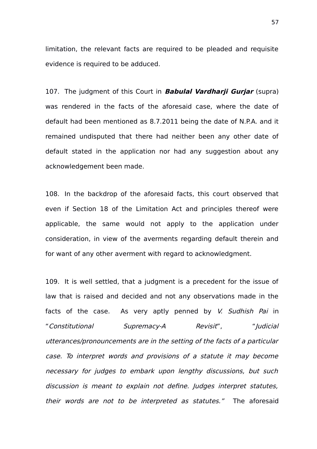limitation, the relevant facts are required to be pleaded and requisite evidence is required to be adduced.

107. The judgment of this Court in **Babulal Vardharji Gurjar** (supra) was rendered in the facts of the aforesaid case, where the date of default had been mentioned as 8.7.2011 being the date of N.P.A. and it remained undisputed that there had neither been any other date of default stated in the application nor had any suggestion about any acknowledgement been made.

108. In the backdrop of the aforesaid facts, this court observed that even if Section 18 of the Limitation Act and principles thereof were applicable, the same would not apply to the application under consideration, in view of the averments regarding default therein and for want of any other averment with regard to acknowledgment.

109. It is well settled, that a judgment is a precedent for the issue of law that is raised and decided and not any observations made in the facts of the case. As very aptly penned by V. Sudhish Pai in "Constitutional Supremacy-A Revisit", "Judicial utterances/pronouncements are in the setting of the facts of a particular case. To interpret words and provisions of a statute it may become necessary for judges to embark upon lengthy discussions, but such discussion is meant to explain not define. Judges interpret statutes, their words are not to be interpreted as statutes." The aforesaid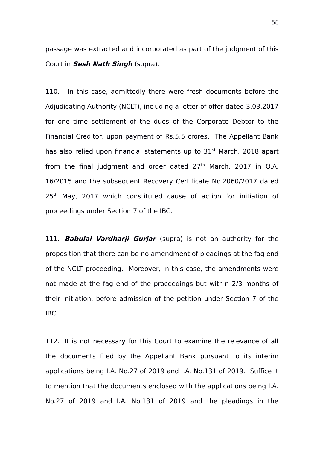passage was extracted and incorporated as part of the judgment of this Court in **Sesh Nath Singh** (supra).

110. In this case, admittedly there were fresh documents before the Adjudicating Authority (NCLT), including a letter of offer dated 3.03.2017 for one time settlement of the dues of the Corporate Debtor to the Financial Creditor, upon payment of Rs.5.5 crores. The Appellant Bank has also relied upon financial statements up to  $31<sup>st</sup>$  March, 2018 apart from the final judgment and order dated  $27<sup>th</sup>$  March, 2017 in O.A. 16/2015 and the subsequent Recovery Certificate No.2060/2017 dated 25<sup>th</sup> May, 2017 which constituted cause of action for initiation of proceedings under Section 7 of the IBC.

111. **Babulal Vardharji Gurjar** (supra) is not an authority for the proposition that there can be no amendment of pleadings at the fag end of the NCLT proceeding. Moreover, in this case, the amendments were not made at the fag end of the proceedings but within 2/3 months of their initiation, before admission of the petition under Section 7 of the IBC.

112. It is not necessary for this Court to examine the relevance of all the documents filed by the Appellant Bank pursuant to its interim applications being I.A. No.27 of 2019 and I.A. No.131 of 2019. Suffice it to mention that the documents enclosed with the applications being I.A. No.27 of 2019 and I.A. No.131 of 2019 and the pleadings in the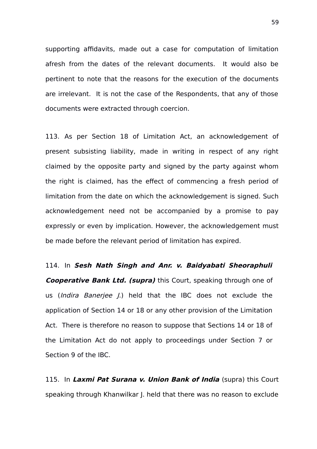supporting affidavits, made out a case for computation of limitation afresh from the dates of the relevant documents. It would also be pertinent to note that the reasons for the execution of the documents are irrelevant. It is not the case of the Respondents, that any of those documents were extracted through coercion.

113. As per Section 18 of Limitation Act, an acknowledgement of present subsisting liability, made in writing in respect of any right claimed by the opposite party and signed by the party against whom the right is claimed, has the effect of commencing a fresh period of limitation from the date on which the acknowledgement is signed. Such acknowledgement need not be accompanied by a promise to pay expressly or even by implication. However, the acknowledgement must be made before the relevant period of limitation has expired.

114. In **Sesh Nath Singh and Anr. v. Baidyabati Sheoraphuli Cooperative Bank Ltd. (supra)** this Court, speaking through one of us (*Indira Banerjee J.*) held that the IBC does not exclude the application of Section 14 or 18 or any other provision of the Limitation Act. There is therefore no reason to suppose that Sections 14 or 18 of the Limitation Act do not apply to proceedings under Section 7 or Section 9 of the IBC.

115. In **Laxmi Pat Surana v. Union Bank of India** (supra) this Court speaking through Khanwilkar J. held that there was no reason to exclude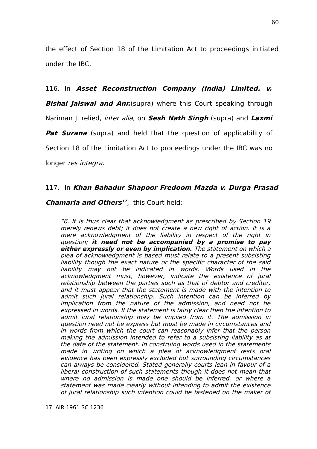the effect of Section 18 of the Limitation Act to proceedings initiated under the IBC.

116. In **Asset Reconstruction Company (India) Limited. v.**

**Bishal Jaiswal and Anr.**(supra) where this Court speaking through

Nariman J. relied, inter alia, on **Sesh Nath Singh** (supra) and **Laxmi**

**Pat Surana** (supra) and held that the question of applicability of Section 18 of the Limitation Act to proceedings under the IBC was no

longer res integra.

# 117. In **Khan Bahadur Shapoor Fredoom Mazda v. Durga Prasad**

**Chamaria and Others [17](#page-59-0)** , this Court held:-

<span id="page-59-0"></span>"6. It is thus clear that acknowledgment as prescribed by Section 19 merely renews debt; it does not create a new right of action. It is a mere acknowledgment of the liability in respect of the right in question; **it need not be accompanied by <sup>a</sup> promise to pay either expressly or even by implication.** The statement on which a plea of acknowledgment is based must relate to a present subsisting liability though the exact nature or the specific character of the said liability may not be indicated in words. Words used in the acknowledgment must, however, indicate the existence of jural relationship between the parties such as that of debtor and creditor, and it must appear that the statement is made with the intention to admit such jural relationship. Such intention can be inferred by implication from the nature of the admission, and need not be expressed in words. If the statement is fairly clear then the intention to admit jural relationship may be implied from it. The admission in question need not be express but must be made in circumstances and in words from which the court can reasonably infer that the person making the admission intended to refer to a subsisting liability as at the date of the statement. In construing words used in the statements made in writing on which <sup>a</sup> plea of acknowledgment rests oral evidence has been expressly excluded but surrounding circumstances can always be considered. Stated generally courts lean in favour of a liberal construction of such statements though it does not mean that where no admission is made one should be inferred, or where a statement was made clearly without intending to admit the existence of jural relationship such intention could be fastened on the maker of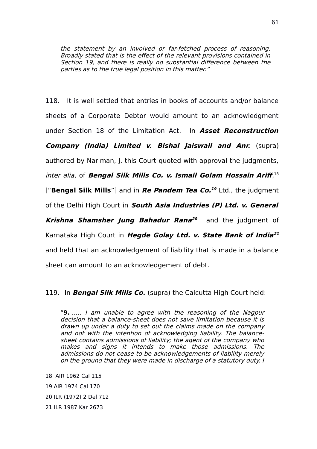the statement by an involved or far-fetched process of reasoning. Broadly stated that is the effect of the relevant provisions contained in Section 19, and there is really no substantial difference between the parties as to the true legal position in this matter."

118. It is well settled that entries in books of accounts and/or balance sheets of a Corporate Debtor would amount to an acknowledgment under Section 18 of the Limitation Act. In **Asset Reconstruction Company (India) Limited v. Bishal Jaiswall and Anr.** (supra) authored by Nariman, J. this Court quoted with approval the judgments, inter alia, of **Bengal Silk Mills Co. v. Ismail Golam Hossain Ariff**, [18](#page-60-0) ["**Bengal Silk Mills**"] and in **Re Pandem Tea Co. [19](#page-60-1)** Ltd., the judgment of the Delhi High Court in **South Asia Industries (P) Ltd. v. General Krishna Shamsher Jung Bahadur Rana [20](#page-60-2)** and the judgment of Karnataka High Court in **Hegde Golay Ltd. v. State Bank of India [21](#page-60-3)** and held that an acknowledgement of liability that is made in a balance sheet can amount to an acknowledgement of debt.

119. In **Bengal Silk Mills Co.** (supra) the Calcutta High Court held:-

"**9.** ….. I am unable to agree with the reasoning of the Nagpur decision that a balance-sheet does not save limitation because it is drawn up under a duty to set out the claims made on the company and not with the intention of acknowledging liability. The balancesheet contains admissions of liability; the agent of the company who makes and signs it intends to make those admissions. The admissions do not cease to be acknowledgements of liability merely on the ground that they were made in discharge of a statutory duty. I

<span id="page-60-3"></span><span id="page-60-2"></span><span id="page-60-1"></span><span id="page-60-0"></span>18 AIR 1962 Cal 115 19 AIR 1974 Cal 170 20 ILR (1972) 2 Del 712 21 ILR 1987 Kar 2673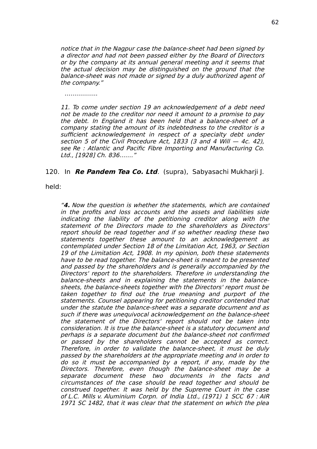notice that in the Nagpur case the balance-sheet had been signed by a director and had not been passed either by the Board of Directors or by the company at its annual general meeting and it seems that the actual decision may be distinguished on the ground that the balance-sheet was not made or signed by a duly authorized agent of the company."

…………………

11. To come under section 19 an acknowledgement of a debt need not be made to the creditor nor need it amount to a promise to pay the debt. In England it has been held that a balance-sheet of a company stating the amount of its indebtedness to the creditor is a sufficient acknowledgement in respect of a specialty debt under section 5 of the Civil Procedure Act, 1833 (3 and 4 Will  $-$  4c. 42), see Re : Atlantic and Pacific Fibre Importing and Manufacturing Co. Ltd., [1928] Ch. 836……."

# 120. In **Re Pandem Tea Co. Ltd**. (supra), Sabyasachi Mukharji J.

held:

"**4.** Now the question is whether the statements, which are contained in the profits and loss accounts and the assets and liabilities side indicating the liability of the petitioning creditor along with the statement of the Directors made to the shareholders as Directors' report should be read together and if so whether reading these two statements together these amount to an acknowledgement as contemplated under Section 18 of the Limitation Act, 1963, or Section 19 of the Limitation Act, 1908. In my opinion, both these statements have to be read together. The balance-sheet is meant to be presented and passed by the shareholders and is generally accompanied by the Directors' report to the shareholders. Therefore in understanding the balance-sheets and in explaining the statements in the balancesheets, the balance-sheets together with the Directors' report must be taken together to find out the true meaning and purport of the statements. Counsel appearing for petitioning creditor contended that under the statute the balance-sheet was a separate document and as such if there was unequivocal acknowledgement on the balance-sheet the statement of the Directors' report should not be taken into consideration. It is true the balance-sheet is a statutory document and perhaps is a separate document but the balance-sheet not confirmed or passed by the shareholders cannot be accepted as correct. Therefore, in order to validate the balance-sheet, it must be duly passed by the shareholders at the appropriate meeting and in order to do so it must be accompanied by <sup>a</sup> report, if any, made by the Directors. Therefore, even though the balance-sheet may be <sup>a</sup> separate document these two documents in the facts and circumstances of the case should be read together and should be construed together. It was held by the Supreme Court in the case of L.C. Mills v. Aluminium Corpn. of India Ltd., (1971) 1 SCC 67 : AIR 1971 SC 1482, that it was clear that the statement on which the plea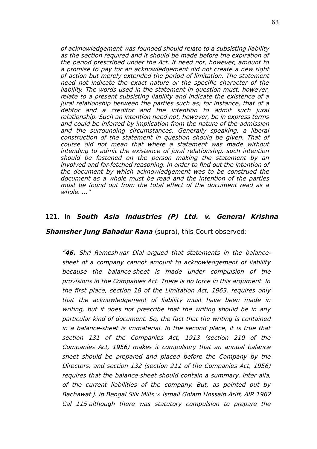of acknowledgement was founded should relate to a subsisting liability as the section required and it should be made before the expiration of the period prescribed under the Act. It need not, however, amount to a promise to pay for an acknowledgement did not create a new right of action but merely extended the period of limitation. The statement need not indicate the exact nature or the specific character of the liability. The words used in the statement in question must, however, relate to a present subsisting liability and indicate the existence of a jural relationship between the parties such as, for instance, that of a debtor and <sup>a</sup> creditor and the intention to admit such jural relationship. Such an intention need not, however, be in express terms and could be inferred by implication from the nature of the admission and the surrounding circumstances. Generally speaking, <sup>a</sup> liberal construction of the statement in question should be given. That of course did not mean that where <sup>a</sup> statement was made without intending to admit the existence of jural relationship, such intention should be fastened on the person making the statement by an involved and far-fetched reasoning. In order to find out the intention of the document by which acknowledgement was to be construed the document as a whole must be read and the intention of the parties must be found out from the total effect of the document read as a whole. …"

# 121. In **South Asia Industries (P) Ltd. v. General Krishna**

**Shamsher Jung Bahadur Rana** (supra), this Court observed:-

"**46.** Shri Rameshwar Dial argued that statements in the balancesheet of a company cannot amount to acknowledgement of liability because the balance-sheet is made under compulsion of the provisions in the Companies Act. There is no force in this argument. In the first place, section 18 of the Limitation Act, 1963, requires only that the acknowledgement of liability must have been made in writing, but it does not prescribe that the writing should be in any particular kind of document. So, the fact that the writing is contained in a balance-sheet is immaterial. In the second place, it is true that section 131 of the Companies Act, 1913 (section 210 of the Companies Act, 1956) makes it compulsory that an annual balance sheet should be prepared and placed before the Company by the Directors, and section 132 (section 211 of the Companies Act, 1956) requires that the balance-sheet should contain a summary, inter alia, of the current liabilities of the company. But, as pointed out by Bachawat J. in Bengal Silk Mills v. Ismail Golam Hossain Ariff, AIR 1962 Cal 115 although there was statutory compulsion to prepare the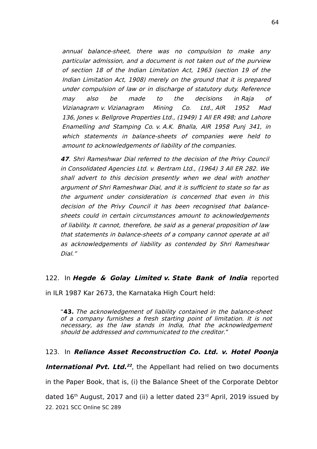annual balance-sheet, there was no compulsion to make any particular admission, and a document is not taken out of the purview of section 18 of the Indian Limitation Act, 1963 (section 19 of the Indian Limitation Act, 1908) merely on the ground that it is prepared under compulsion of law or in discharge of statutory duty. Reference may also be made to the decisions in Raja of Vizianagram v. Vizianagram Mining Co. Ltd., AIR 1952 Mad 136, Jones v. Bellgrove Properties Ltd., (1949) 1 All ER 498; and Lahore Enamelling and Stamping Co. v. A.K. Bhalla, AIR 1958 Punj 341, in which statements in balance-sheets of companies were held to amount to acknowledgements of liability of the companies.

**47**. Shri Rameshwar Dial referred to the decision of the Privy Council in Consolidated Agencies Ltd. v. Bertram Ltd., (1964) 3 All ER 282. We shall advert to this decision presently when we deal with another argument of Shri Rameshwar Dial, and it is sufficient to state so far as the argument under consideration is concerned that even in this decision of the Privy Council it has been recognised that balancesheets could in certain circumstances amount to acknowledgements of liability. It cannot, therefore, be said as a general proposition of law that statements in balance-sheets of a company cannot operate at all as acknowledgements of liability as contended by Shri Rameshwar Dial<sup>"</sup>

# 122. In **Hegde & Golay Limited v. State Bank of India** reported

in ILR 1987 Kar 2673, the Karnataka High Court held:

"**43.** The acknowledgement of liability contained in the balance-sheet of a company furnishes a fresh starting point of limitation. It is not necessary, as the law stands in India, that the acknowledgement should be addressed and communicated to the creditor."

# 123. In **Reliance Asset Reconstruction Co. Ltd. v. Hotel Poonja**

**International Pvt. Ltd.**<sup>[22](#page-63-0)</sup>, the Appellant had relied on two documents

in the Paper Book, that is, (i) the Balance Sheet of the Corporate Debtor

<span id="page-63-0"></span>dated  $16<sup>th</sup>$  August, 2017 and (ii) a letter dated 23 $<sup>rd</sup>$  April, 2019 issued by</sup> 22. 2021 SCC Online SC 289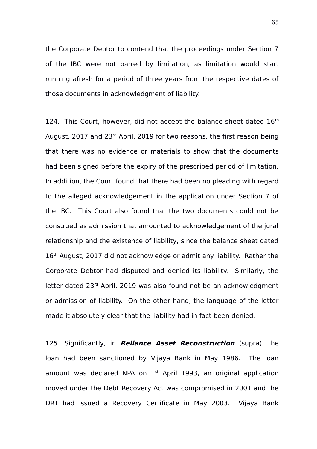the Corporate Debtor to contend that the proceedings under Section 7 of the IBC were not barred by limitation, as limitation would start running afresh for a period of three years from the respective dates of those documents in acknowledgment of liability.

124. This Court, however, did not accept the balance sheet dated  $16<sup>th</sup>$ August, 2017 and  $23<sup>rd</sup>$  April, 2019 for two reasons, the first reason being that there was no evidence or materials to show that the documents had been signed before the expiry of the prescribed period of limitation. In addition, the Court found that there had been no pleading with regard to the alleged acknowledgement in the application under Section 7 of the IBC. This Court also found that the two documents could not be construed as admission that amounted to acknowledgement of the jural relationship and the existence of liability, since the balance sheet dated 16<sup>th</sup> August, 2017 did not acknowledge or admit any liability. Rather the Corporate Debtor had disputed and denied its liability. Similarly, the letter dated 23rd April, 2019 was also found not be an acknowledgment or admission of liability. On the other hand, the language of the letter made it absolutely clear that the liability had in fact been denied.

125. Significantly, in **Reliance Asset Reconstruction** (supra), the loan had been sanctioned by Vijaya Bank in May 1986. The loan amount was declared NPA on  $1<sup>st</sup>$  April 1993, an original application moved under the Debt Recovery Act was compromised in 2001 and the DRT had issued a Recovery Certificate in May 2003. Vijaya Bank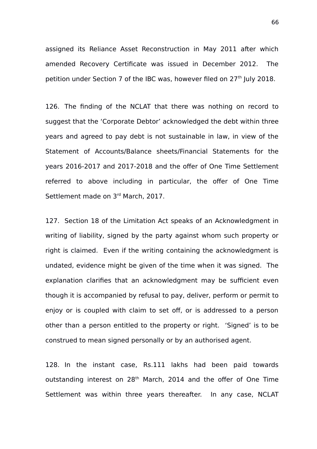assigned its Reliance Asset Reconstruction in May 2011 after which amended Recovery Certificate was issued in December 2012. The petition under Section 7 of the IBC was, however filed on 27<sup>th</sup> July 2018.

126. The finding of the NCLAT that there was nothing on record to suggest that the 'Corporate Debtor' acknowledged the debt within three years and agreed to pay debt is not sustainable in law, in view of the Statement of Accounts/Balance sheets/Financial Statements for the years 2016-2017 and 2017-2018 and the offer of One Time Settlement referred to above including in particular, the offer of One Time Settlement made on 3rd March, 2017.

127. Section 18 of the Limitation Act speaks of an Acknowledgment in writing of liability, signed by the party against whom such property or right is claimed. Even if the writing containing the acknowledgment is undated, evidence might be given of the time when it was signed. The explanation clarifies that an acknowledgment may be sufficient even though it is accompanied by refusal to pay, deliver, perform or permit to enjoy or is coupled with claim to set off, or is addressed to a person other than a person entitled to the property or right. 'Signed' is to be construed to mean signed personally or by an authorised agent.

128. In the instant case, Rs.111 lakhs had been paid towards outstanding interest on  $28<sup>th</sup>$  March, 2014 and the offer of One Time Settlement was within three years thereafter. In any case, NCLAT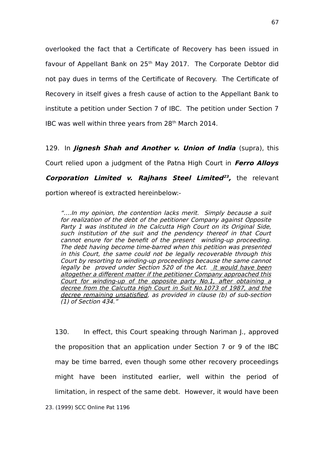overlooked the fact that a Certificate of Recovery has been issued in favour of Appellant Bank on 25<sup>th</sup> May 2017. The Corporate Debtor did not pay dues in terms of the Certificate of Recovery. The Certificate of Recovery in itself gives a fresh cause of action to the Appellant Bank to institute a petition under Section 7 of IBC. The petition under Section 7 IBC was well within three years from 28<sup>th</sup> March 2014.

129. In **Jignesh Shah and Another v. Union of India** (supra), this Court relied upon a judgment of the Patna High Court in **Ferro Alloys Corporation Limited v. Rajhans Steel Limited [23](#page-66-0) ,** the relevant portion whereof is extracted hereinbelow:-

"….In my opinion, the contention lacks merit. Simply because a suit for realization of the debt of the petitioner Company against Opposite Party 1 was instituted in the Calcutta High Court on its Original Side, such institution of the suit and the pendency thereof in that Court cannot enure for the benefit of the present winding-up proceeding. The debt having become time-barred when this petition was presented in this Court, the same could not be legally recoverable through this Court by resorting to winding-up proceedings because the same cannot legally be proved under Section 520 of the Act. It would have been altogether a different matter if the petitioner Company approached this Court for winding-up of the opposite party No.1, after obtaining a decree from the Calcutta High Court in Suit No.1073 of 1987, and the decree remaining unsatisfied, as provided in clause (b) of sub-section (1) of Section 434."

<span id="page-66-0"></span>130. In effect, this Court speaking through Nariman J., approved the proposition that an application under Section 7 or 9 of the IBC may be time barred, even though some other recovery proceedings might have been instituted earlier, well within the period of limitation, in respect of the same debt. However, it would have been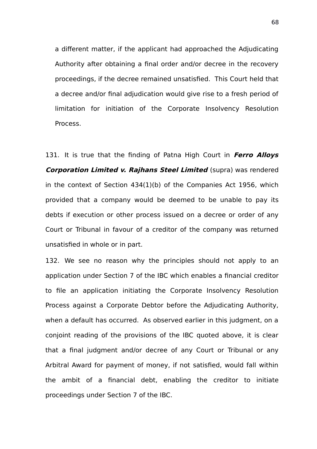a different matter, if the applicant had approached the Adjudicating Authority after obtaining a final order and/or decree in the recovery proceedings, if the decree remained unsatisfied. This Court held that a decree and/or final adjudication would give rise to a fresh period of limitation for initiation of the Corporate Insolvency Resolution Process.

131. It is true that the finding of Patna High Court in **Ferro Alloys Corporation Limited v. Rajhans Steel Limited** (supra) was rendered in the context of Section 434(1)(b) of the Companies Act 1956, which provided that a company would be deemed to be unable to pay its debts if execution or other process issued on a decree or order of any Court or Tribunal in favour of a creditor of the company was returned unsatisfied in whole or in part.

132. We see no reason why the principles should not apply to an application under Section 7 of the IBC which enables a financial creditor to file an application initiating the Corporate Insolvency Resolution Process against a Corporate Debtor before the Adjudicating Authority, when a default has occurred. As observed earlier in this judgment, on a conjoint reading of the provisions of the IBC quoted above, it is clear that a final judgment and/or decree of any Court or Tribunal or any Arbitral Award for payment of money, if not satisfied, would fall within the ambit of a financial debt, enabling the creditor to initiate proceedings under Section 7 of the IBC.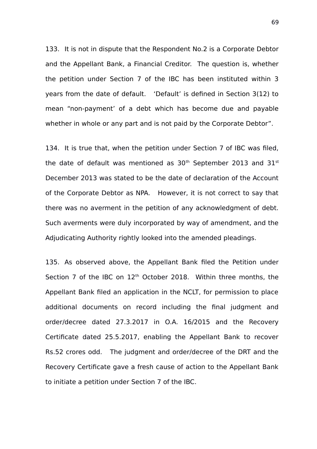133. It is not in dispute that the Respondent No.2 is a Corporate Debtor and the Appellant Bank, a Financial Creditor. The question is, whether the petition under Section 7 of the IBC has been instituted within 3 years from the date of default. 'Default' is defined in Section 3(12) to mean "non-payment' of a debt which has become due and payable whether in whole or any part and is not paid by the Corporate Debtor".

134. It is true that, when the petition under Section 7 of IBC was filed, the date of default was mentioned as  $30<sup>th</sup>$  September 2013 and  $31<sup>st</sup>$ December 2013 was stated to be the date of declaration of the Account of the Corporate Debtor as NPA. However, it is not correct to say that there was no averment in the petition of any acknowledgment of debt. Such averments were duly incorporated by way of amendment, and the Adjudicating Authority rightly looked into the amended pleadings.

135. As observed above, the Appellant Bank filed the Petition under Section 7 of the IBC on  $12<sup>th</sup>$  October 2018. Within three months, the Appellant Bank filed an application in the NCLT, for permission to place additional documents on record including the final judgment and order/decree dated 27.3.2017 in O.A. 16/2015 and the Recovery Certificate dated 25.5.2017, enabling the Appellant Bank to recover Rs.52 crores odd. The judgment and order/decree of the DRT and the Recovery Certificate gave a fresh cause of action to the Appellant Bank to initiate a petition under Section 7 of the IBC.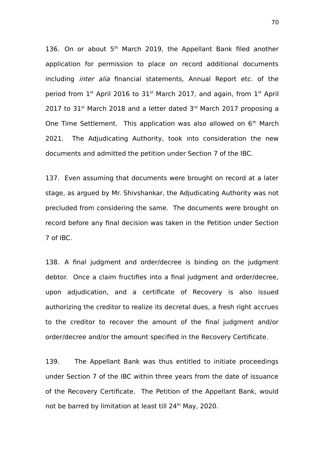136. On or about  $5<sup>th</sup>$  March 2019, the Appellant Bank filed another application for permission to place on record additional documents including inter alia financial statements, Annual Report etc. of the period from 1<sup>st</sup> April 2016 to 31<sup>st</sup> March 2017, and again, from 1<sup>st</sup> April 2017 to  $31^{st}$  March 2018 and a letter dated  $3^{rd}$  March 2017 proposing a One Time Settlement. This application was also allowed on  $6<sup>th</sup>$  March 2021. The Adjudicating Authority, took into consideration the new documents and admitted the petition under Section 7 of the IBC.

137. Even assuming that documents were brought on record at a later stage, as argued by Mr. Shivshankar, the Adjudicating Authority was not precluded from considering the same. The documents were brought on record before any final decision was taken in the Petition under Section 7 of IBC.

138. A final judgment and order/decree is binding on the judgment debtor. Once a claim fructifies into a final judgment and order/decree, upon adjudication, and a certificate of Recovery is also issued authorizing the creditor to realize its decretal dues, a fresh right accrues to the creditor to recover the amount of the final judgment and/or order/decree and/or the amount specified in the Recovery Certificate.

139. The Appellant Bank was thus entitled to initiate proceedings under Section 7 of the IBC within three years from the date of issuance of the Recovery Certificate. The Petition of the Appellant Bank, would not be barred by limitation at least till 24<sup>th</sup> May, 2020.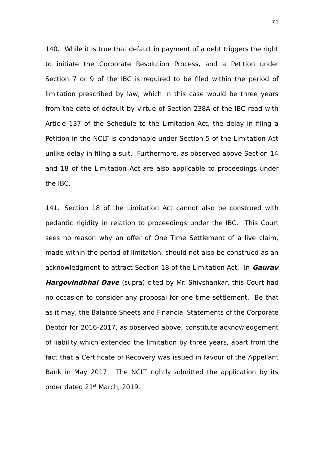140. While it is true that default in payment of a debt triggers the right to initiate the Corporate Resolution Process, and a Petition under Section 7 or 9 of the IBC is required to be filed within the period of limitation prescribed by law, which in this case would be three years from the date of default by virtue of Section 238A of the IBC read with Article 137 of the Schedule to the Limitation Act, the delay in filing a Petition in the NCLT is condonable under Section 5 of the Limitation Act unlike delay in filing a suit. Furthermore, as observed above Section 14 and 18 of the Limitation Act are also applicable to proceedings under the IBC.

141. Section 18 of the Limitation Act cannot also be construed with pedantic rigidity in relation to proceedings under the IBC. This Court sees no reason why an offer of One Time Settlement of a live claim, made within the period of limitation, should not also be construed as an acknowledgment to attract Section 18 of the Limitation Act. In **Gaurav Hargovindbhai Dave** (supra) cited by Mr. Shivshankar, this Court had no occasion to consider any proposal for one time settlement. Be that as it may, the Balance Sheets and Financial Statements of the Corporate Debtor for 2016-2017, as observed above, constitute acknowledgement of liability which extended the limitation by three years, apart from the fact that a Certificate of Recovery was issued in favour of the Appellant Bank in May 2017. The NCLT rightly admitted the application by its order dated 21<sup>st</sup> March, 2019.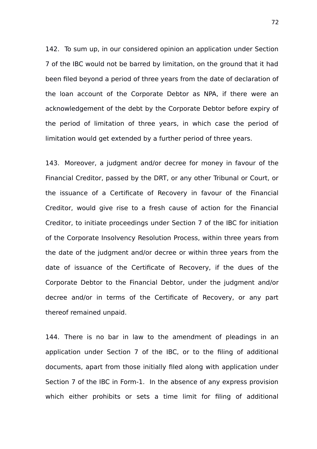142. To sum up, in our considered opinion an application under Section 7 of the IBC would not be barred by limitation, on the ground that it had been filed beyond a period of three years from the date of declaration of the loan account of the Corporate Debtor as NPA, if there were an acknowledgement of the debt by the Corporate Debtor before expiry of the period of limitation of three years, in which case the period of limitation would get extended by a further period of three years.

143. Moreover, a judgment and/or decree for money in favour of the Financial Creditor, passed by the DRT, or any other Tribunal or Court, or the issuance of a Certificate of Recovery in favour of the Financial Creditor, would give rise to a fresh cause of action for the Financial Creditor, to initiate proceedings under Section 7 of the IBC for initiation of the Corporate Insolvency Resolution Process, within three years from the date of the judgment and/or decree or within three years from the date of issuance of the Certificate of Recovery, if the dues of the Corporate Debtor to the Financial Debtor, under the judgment and/or decree and/or in terms of the Certificate of Recovery, or any part thereof remained unpaid.

144. There is no bar in law to the amendment of pleadings in an application under Section 7 of the IBC, or to the filing of additional documents, apart from those initially filed along with application under Section 7 of the IBC in Form-1. In the absence of any express provision which either prohibits or sets a time limit for filing of additional

72